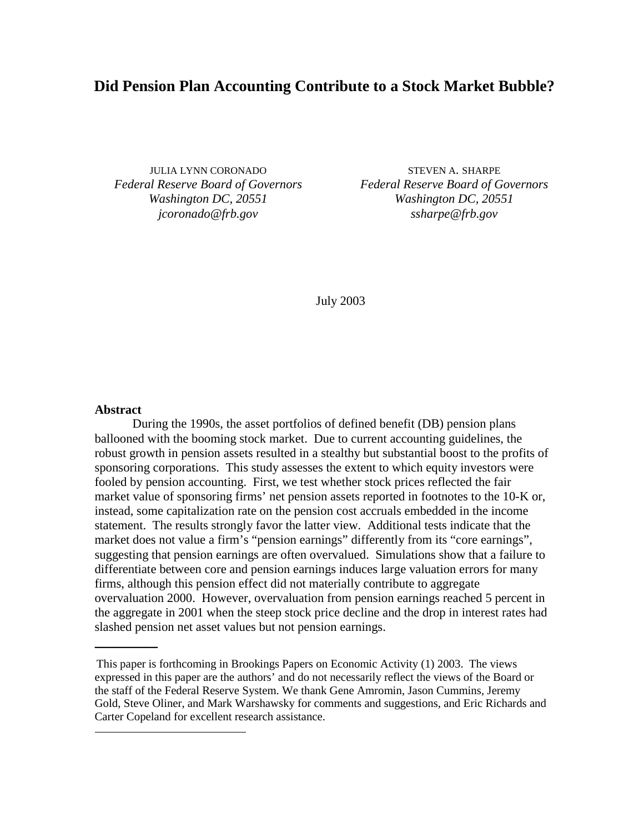# **Did Pension Plan Accounting Contribute to a Stock Market Bubble?**

JULIA LYNN CORONADO *Federal Reserve Board of Governors Washington DC, 20551 jcoronado@frb.gov*

STEVEN A. SHARPE *Federal Reserve Board of Governors Washington DC, 20551 ssharpe@frb.gov*

July 2003

#### **Abstract**

 $\frac{1}{2}$ 

 $\overline{a}$ 

During the 1990s, the asset portfolios of defined benefit (DB) pension plans ballooned with the booming stock market. Due to current accounting guidelines, the robust growth in pension assets resulted in a stealthy but substantial boost to the profits of sponsoring corporations. This study assesses the extent to which equity investors were fooled by pension accounting. First, we test whether stock prices reflected the fair market value of sponsoring firms' net pension assets reported in footnotes to the 10-K or, instead, some capitalization rate on the pension cost accruals embedded in the income statement. The results strongly favor the latter view. Additional tests indicate that the market does not value a firm's "pension earnings" differently from its "core earnings", suggesting that pension earnings are often overvalued. Simulations show that a failure to differentiate between core and pension earnings induces large valuation errors for many firms, although this pension effect did not materially contribute to aggregate overvaluation 2000. However, overvaluation from pension earnings reached 5 percent in the aggregate in 2001 when the steep stock price decline and the drop in interest rates had slashed pension net asset values but not pension earnings.

This paper is forthcoming in Brookings Papers on Economic Activity (1) 2003. The views expressed in this paper are the authors' and do not necessarily reflect the views of the Board or the staff of the Federal Reserve System. We thank Gene Amromin, Jason Cummins, Jeremy Gold, Steve Oliner, and Mark Warshawsky for comments and suggestions, and Eric Richards and Carter Copeland for excellent research assistance.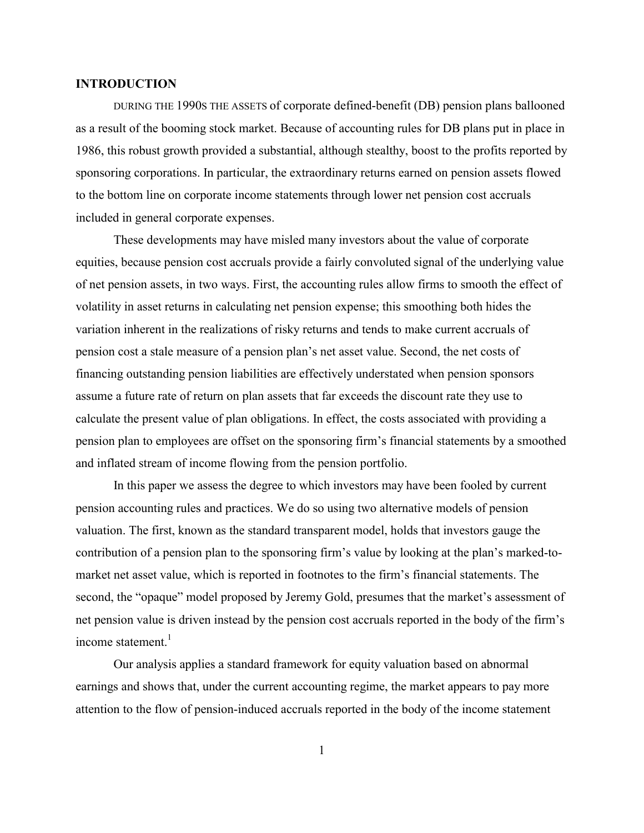### **INTRODUCTION**

DURING THE 1990S THE ASSETS of corporate defined-benefit (DB) pension plans ballooned as a result of the booming stock market. Because of accounting rules for DB plans put in place in 1986, this robust growth provided a substantial, although stealthy, boost to the profits reported by sponsoring corporations. In particular, the extraordinary returns earned on pension assets flowed to the bottom line on corporate income statements through lower net pension cost accruals included in general corporate expenses.

These developments may have misled many investors about the value of corporate equities, because pension cost accruals provide a fairly convoluted signal of the underlying value of net pension assets, in two ways. First, the accounting rules allow firms to smooth the effect of volatility in asset returns in calculating net pension expense; this smoothing both hides the variation inherent in the realizations of risky returns and tends to make current accruals of pension cost a stale measure of a pension plan's net asset value. Second, the net costs of financing outstanding pension liabilities are effectively understated when pension sponsors assume a future rate of return on plan assets that far exceeds the discount rate they use to calculate the present value of plan obligations. In effect, the costs associated with providing a pension plan to employees are offset on the sponsoring firm's financial statements by a smoothed and inflated stream of income flowing from the pension portfolio.

In this paper we assess the degree to which investors may have been fooled by current pension accounting rules and practices. We do so using two alternative models of pension valuation. The first, known as the standard transparent model, holds that investors gauge the contribution of a pension plan to the sponsoring firm's value by looking at the plan's marked-tomarket net asset value, which is reported in footnotes to the firm's financial statements. The second, the "opaque" model proposed by Jeremy Gold, presumes that the market's assessment of net pension value is driven instead by the pension cost accruals reported in the body of the firm's income statement $<sup>1</sup>$ </sup>

Our analysis applies a standard framework for equity valuation based on abnormal earnings and shows that, under the current accounting regime, the market appears to pay more attention to the flow of pension-induced accruals reported in the body of the income statement

1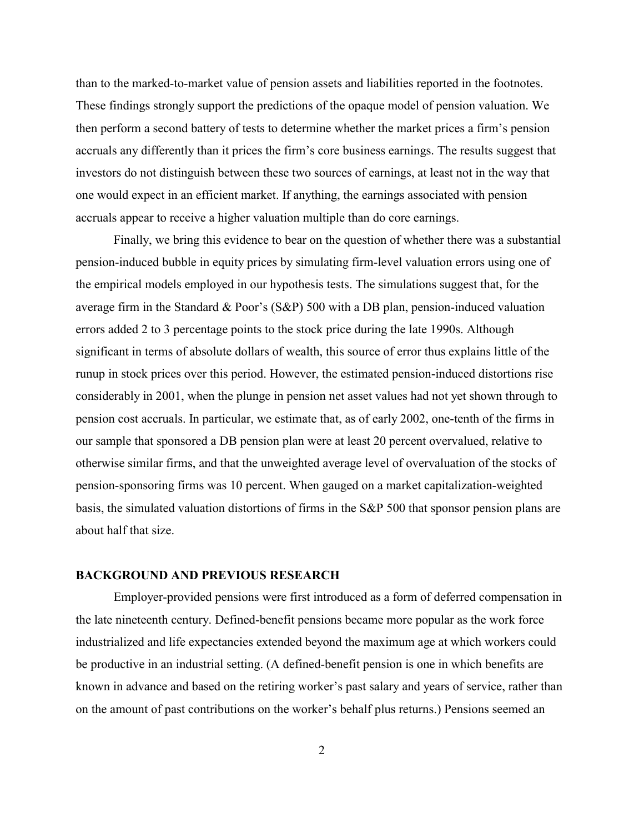than to the marked-to-market value of pension assets and liabilities reported in the footnotes. These findings strongly support the predictions of the opaque model of pension valuation. We then perform a second battery of tests to determine whether the market prices a firm's pension accruals any differently than it prices the firm's core business earnings. The results suggest that investors do not distinguish between these two sources of earnings, at least not in the way that one would expect in an efficient market. If anything, the earnings associated with pension accruals appear to receive a higher valuation multiple than do core earnings.

 Finally, we bring this evidence to bear on the question of whether there was a substantial pension-induced bubble in equity prices by simulating firm-level valuation errors using one of the empirical models employed in our hypothesis tests. The simulations suggest that, for the average firm in the Standard & Poor's (S&P) 500 with a DB plan, pension-induced valuation errors added 2 to 3 percentage points to the stock price during the late 1990s. Although significant in terms of absolute dollars of wealth, this source of error thus explains little of the runup in stock prices over this period. However, the estimated pension-induced distortions rise considerably in 2001, when the plunge in pension net asset values had not yet shown through to pension cost accruals. In particular, we estimate that, as of early 2002, one-tenth of the firms in our sample that sponsored a DB pension plan were at least 20 percent overvalued, relative to otherwise similar firms, and that the unweighted average level of overvaluation of the stocks of pension-sponsoring firms was 10 percent. When gauged on a market capitalization-weighted basis, the simulated valuation distortions of firms in the S&P 500 that sponsor pension plans are about half that size.

## **BACKGROUND AND PREVIOUS RESEARCH**

Employer-provided pensions were first introduced as a form of deferred compensation in the late nineteenth century. Defined-benefit pensions became more popular as the work force industrialized and life expectancies extended beyond the maximum age at which workers could be productive in an industrial setting. (A defined-benefit pension is one in which benefits are known in advance and based on the retiring worker's past salary and years of service, rather than on the amount of past contributions on the worker's behalf plus returns.) Pensions seemed an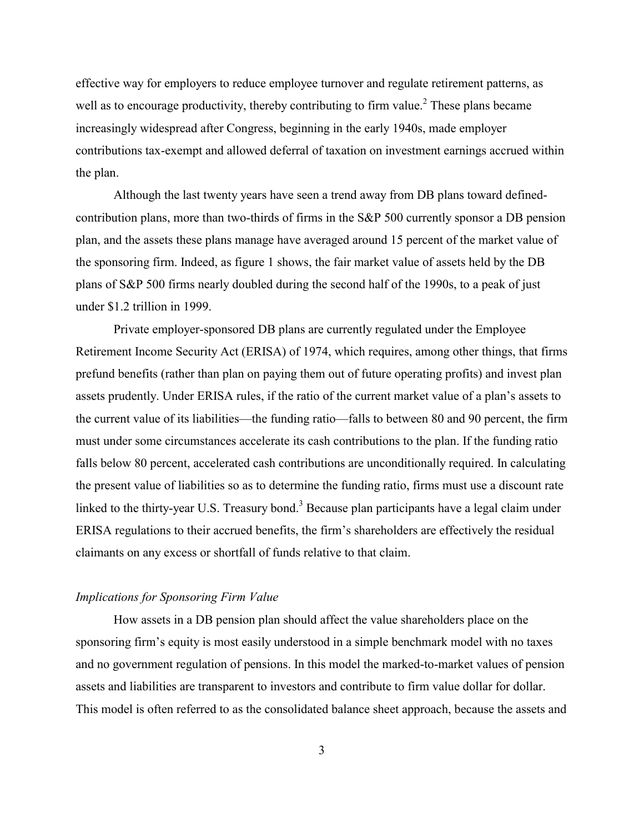effective way for employers to reduce employee turnover and regulate retirement patterns, as well as to encourage productivity, thereby contributing to firm value.<sup>2</sup> These plans became increasingly widespread after Congress, beginning in the early 1940s, made employer contributions tax-exempt and allowed deferral of taxation on investment earnings accrued within the plan.

Although the last twenty years have seen a trend away from DB plans toward definedcontribution plans, more than two-thirds of firms in the S&P 500 currently sponsor a DB pension plan, and the assets these plans manage have averaged around 15 percent of the market value of the sponsoring firm. Indeed, as figure 1 shows, the fair market value of assets held by the DB plans of S&P 500 firms nearly doubled during the second half of the 1990s, to a peak of just under \$1.2 trillion in 1999.

Private employer-sponsored DB plans are currently regulated under the Employee Retirement Income Security Act (ERISA) of 1974, which requires, among other things, that firms prefund benefits (rather than plan on paying them out of future operating profits) and invest plan assets prudently. Under ERISA rules, if the ratio of the current market value of a plan's assets to the current value of its liabilities—the funding ratio—falls to between 80 and 90 percent, the firm must under some circumstances accelerate its cash contributions to the plan. If the funding ratio falls below 80 percent, accelerated cash contributions are unconditionally required. In calculating the present value of liabilities so as to determine the funding ratio, firms must use a discount rate linked to the thirty-year U.S. Treasury bond.<sup>3</sup> Because plan participants have a legal claim under ERISA regulations to their accrued benefits, the firm's shareholders are effectively the residual claimants on any excess or shortfall of funds relative to that claim.

### *Implications for Sponsoring Firm Value*

How assets in a DB pension plan should affect the value shareholders place on the sponsoring firm's equity is most easily understood in a simple benchmark model with no taxes and no government regulation of pensions. In this model the marked-to-market values of pension assets and liabilities are transparent to investors and contribute to firm value dollar for dollar. This model is often referred to as the consolidated balance sheet approach, because the assets and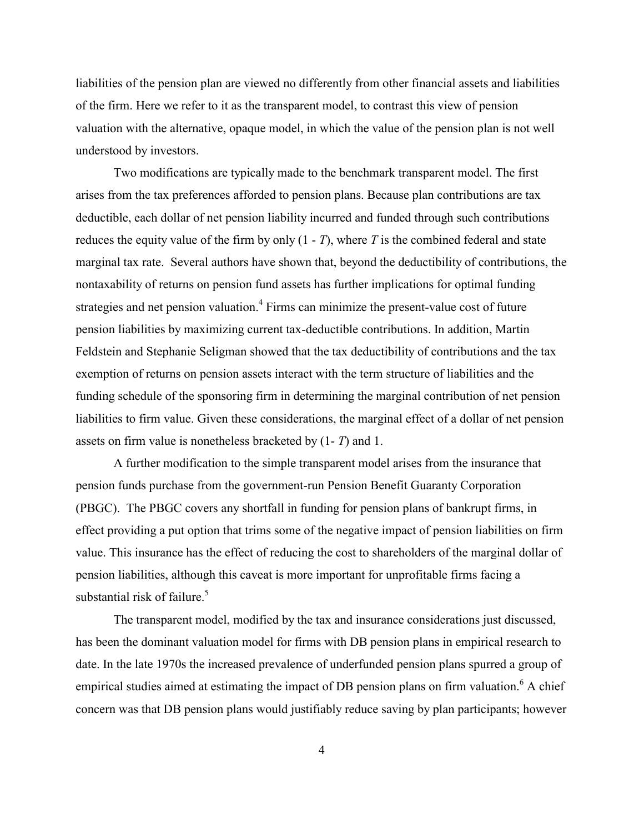liabilities of the pension plan are viewed no differently from other financial assets and liabilities of the firm. Here we refer to it as the transparent model, to contrast this view of pension valuation with the alternative, opaque model, in which the value of the pension plan is not well understood by investors.

Two modifications are typically made to the benchmark transparent model. The first arises from the tax preferences afforded to pension plans. Because plan contributions are tax deductible, each dollar of net pension liability incurred and funded through such contributions reduces the equity value of the firm by only (1 - *T*), where *T* is the combined federal and state marginal tax rate. Several authors have shown that, beyond the deductibility of contributions, the nontaxability of returns on pension fund assets has further implications for optimal funding strategies and net pension valuation.<sup>4</sup> Firms can minimize the present-value cost of future pension liabilities by maximizing current tax-deductible contributions. In addition, Martin Feldstein and Stephanie Seligman showed that the tax deductibility of contributions and the tax exemption of returns on pension assets interact with the term structure of liabilities and the funding schedule of the sponsoring firm in determining the marginal contribution of net pension liabilities to firm value. Given these considerations, the marginal effect of a dollar of net pension assets on firm value is nonetheless bracketed by (1- *T*) and 1.

A further modification to the simple transparent model arises from the insurance that pension funds purchase from the government-run Pension Benefit Guaranty Corporation (PBGC). The PBGC covers any shortfall in funding for pension plans of bankrupt firms, in effect providing a put option that trims some of the negative impact of pension liabilities on firm value. This insurance has the effect of reducing the cost to shareholders of the marginal dollar of pension liabilities, although this caveat is more important for unprofitable firms facing a substantial risk of failure.<sup>5</sup>

The transparent model, modified by the tax and insurance considerations just discussed, has been the dominant valuation model for firms with DB pension plans in empirical research to date. In the late 1970s the increased prevalence of underfunded pension plans spurred a group of empirical studies aimed at estimating the impact of DB pension plans on firm valuation.<sup>6</sup> A chief concern was that DB pension plans would justifiably reduce saving by plan participants; however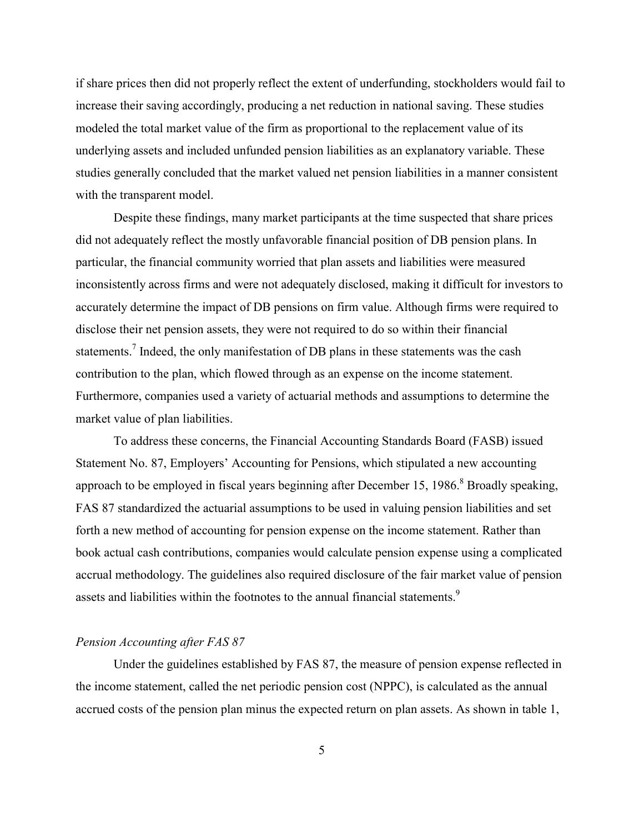if share prices then did not properly reflect the extent of underfunding, stockholders would fail to increase their saving accordingly, producing a net reduction in national saving. These studies modeled the total market value of the firm as proportional to the replacement value of its underlying assets and included unfunded pension liabilities as an explanatory variable. These studies generally concluded that the market valued net pension liabilities in a manner consistent with the transparent model.

Despite these findings, many market participants at the time suspected that share prices did not adequately reflect the mostly unfavorable financial position of DB pension plans. In particular, the financial community worried that plan assets and liabilities were measured inconsistently across firms and were not adequately disclosed, making it difficult for investors to accurately determine the impact of DB pensions on firm value. Although firms were required to disclose their net pension assets, they were not required to do so within their financial statements.<sup>7</sup> Indeed, the only manifestation of DB plans in these statements was the cash contribution to the plan, which flowed through as an expense on the income statement. Furthermore, companies used a variety of actuarial methods and assumptions to determine the market value of plan liabilities.

To address these concerns, the Financial Accounting Standards Board (FASB) issued Statement No. 87, Employers' Accounting for Pensions, which stipulated a new accounting approach to be employed in fiscal years beginning after December 15, 1986.<sup>8</sup> Broadly speaking, FAS 87 standardized the actuarial assumptions to be used in valuing pension liabilities and set forth a new method of accounting for pension expense on the income statement. Rather than book actual cash contributions, companies would calculate pension expense using a complicated accrual methodology. The guidelines also required disclosure of the fair market value of pension assets and liabilities within the footnotes to the annual financial statements.<sup>9</sup>

#### *Pension Accounting after FAS 87*

Under the guidelines established by FAS 87, the measure of pension expense reflected in the income statement, called the net periodic pension cost (NPPC), is calculated as the annual accrued costs of the pension plan minus the expected return on plan assets. As shown in table 1,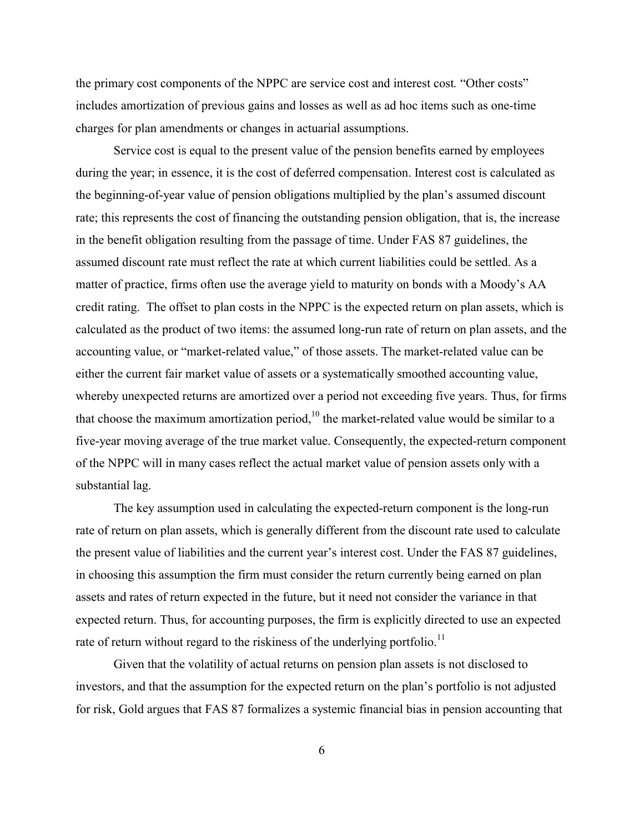the primary cost components of the NPPC are service cost and interest cost*.* "Other costs" includes amortization of previous gains and losses as well as ad hoc items such as one-time charges for plan amendments or changes in actuarial assumptions.

Service cost is equal to the present value of the pension benefits earned by employees during the year; in essence, it is the cost of deferred compensation. Interest cost is calculated as the beginning-of-year value of pension obligations multiplied by the plan's assumed discount rate; this represents the cost of financing the outstanding pension obligation, that is, the increase in the benefit obligation resulting from the passage of time. Under FAS 87 guidelines, the assumed discount rate must reflect the rate at which current liabilities could be settled. As a matter of practice, firms often use the average yield to maturity on bonds with a Moody's AA credit rating. The offset to plan costs in the NPPC is the expected return on plan assets, which is calculated as the product of two items: the assumed long-run rate of return on plan assets, and the accounting value, or "market-related value," of those assets. The market-related value can be either the current fair market value of assets or a systematically smoothed accounting value, whereby unexpected returns are amortized over a period not exceeding five years. Thus, for firms that choose the maximum amortization period.<sup>10</sup> the market-related value would be similar to a five-year moving average of the true market value. Consequently, the expected-return component of the NPPC will in many cases reflect the actual market value of pension assets only with a substantial lag.

The key assumption used in calculating the expected-return component is the long-run rate of return on plan assets, which is generally different from the discount rate used to calculate the present value of liabilities and the current year's interest cost. Under the FAS 87 guidelines, in choosing this assumption the firm must consider the return currently being earned on plan assets and rates of return expected in the future, but it need not consider the variance in that expected return. Thus, for accounting purposes, the firm is explicitly directed to use an expected rate of return without regard to the riskiness of the underlying portfolio.<sup>11</sup>

Given that the volatility of actual returns on pension plan assets is not disclosed to investors, and that the assumption for the expected return on the plan's portfolio is not adjusted for risk, Gold argues that FAS 87 formalizes a systemic financial bias in pension accounting that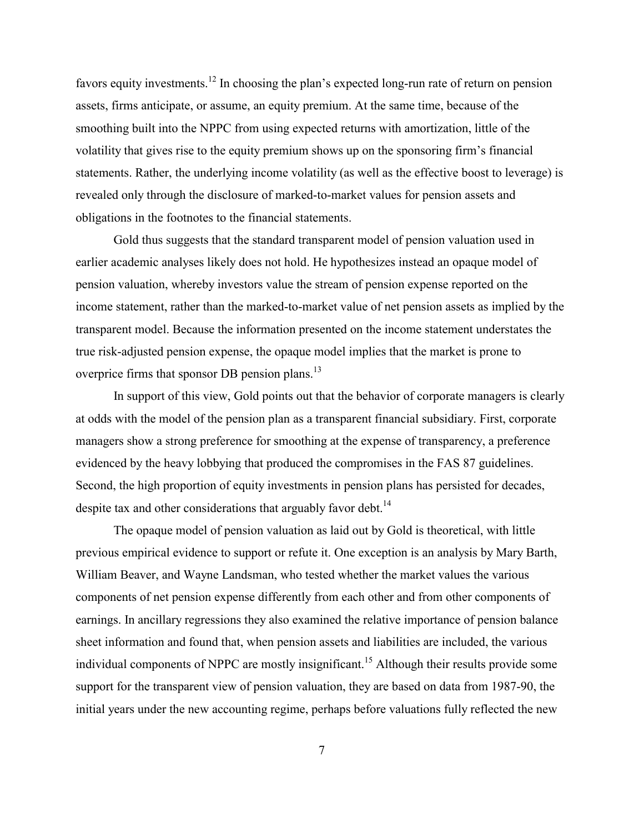favors equity investments.<sup>12</sup> In choosing the plan's expected long-run rate of return on pension assets, firms anticipate, or assume, an equity premium. At the same time, because of the smoothing built into the NPPC from using expected returns with amortization, little of the volatility that gives rise to the equity premium shows up on the sponsoring firm's financial statements. Rather, the underlying income volatility (as well as the effective boost to leverage) is revealed only through the disclosure of marked-to-market values for pension assets and obligations in the footnotes to the financial statements.

Gold thus suggests that the standard transparent model of pension valuation used in earlier academic analyses likely does not hold. He hypothesizes instead an opaque model of pension valuation, whereby investors value the stream of pension expense reported on the income statement, rather than the marked-to-market value of net pension assets as implied by the transparent model. Because the information presented on the income statement understates the true risk-adjusted pension expense, the opaque model implies that the market is prone to overprice firms that sponsor DB pension plans.<sup>13</sup>

In support of this view, Gold points out that the behavior of corporate managers is clearly at odds with the model of the pension plan as a transparent financial subsidiary. First, corporate managers show a strong preference for smoothing at the expense of transparency, a preference evidenced by the heavy lobbying that produced the compromises in the FAS 87 guidelines. Second, the high proportion of equity investments in pension plans has persisted for decades, despite tax and other considerations that arguably favor debt.<sup>14</sup>

The opaque model of pension valuation as laid out by Gold is theoretical, with little previous empirical evidence to support or refute it. One exception is an analysis by Mary Barth, William Beaver, and Wayne Landsman, who tested whether the market values the various components of net pension expense differently from each other and from other components of earnings. In ancillary regressions they also examined the relative importance of pension balance sheet information and found that, when pension assets and liabilities are included, the various individual components of NPPC are mostly insignificant.<sup>15</sup> Although their results provide some support for the transparent view of pension valuation, they are based on data from 1987-90, the initial years under the new accounting regime, perhaps before valuations fully reflected the new

7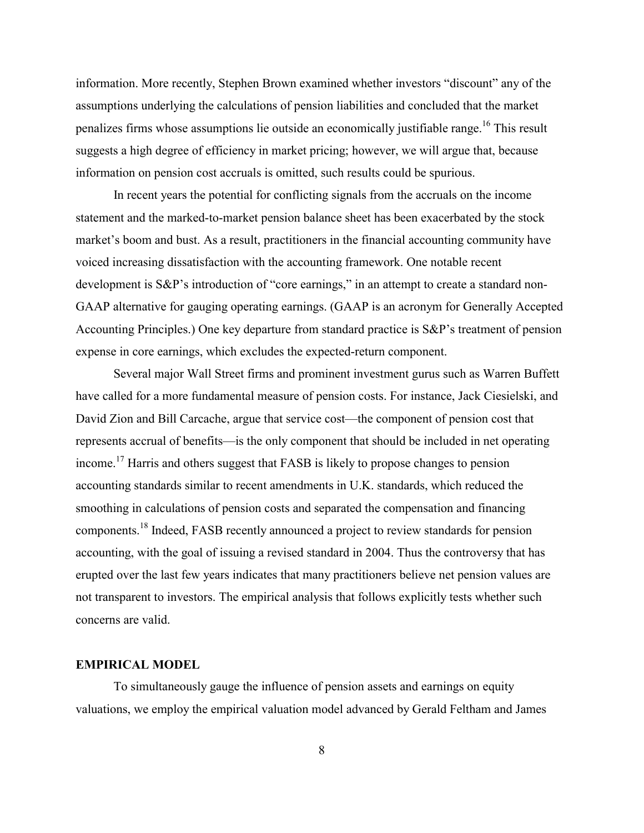information. More recently, Stephen Brown examined whether investors "discount" any of the assumptions underlying the calculations of pension liabilities and concluded that the market penalizes firms whose assumptions lie outside an economically justifiable range.<sup>16</sup> This result suggests a high degree of efficiency in market pricing; however, we will argue that, because information on pension cost accruals is omitted, such results could be spurious.

In recent years the potential for conflicting signals from the accruals on the income statement and the marked-to-market pension balance sheet has been exacerbated by the stock market's boom and bust. As a result, practitioners in the financial accounting community have voiced increasing dissatisfaction with the accounting framework. One notable recent development is S&P's introduction of "core earnings," in an attempt to create a standard non-GAAP alternative for gauging operating earnings. (GAAP is an acronym for Generally Accepted Accounting Principles.) One key departure from standard practice is S&P's treatment of pension expense in core earnings, which excludes the expected-return component.

Several major Wall Street firms and prominent investment gurus such as Warren Buffett have called for a more fundamental measure of pension costs. For instance, Jack Ciesielski, and David Zion and Bill Carcache, argue that service cost—the component of pension cost that represents accrual of benefits—is the only component that should be included in net operating income.<sup>17</sup> Harris and others suggest that FASB is likely to propose changes to pension accounting standards similar to recent amendments in U.K. standards, which reduced the smoothing in calculations of pension costs and separated the compensation and financing components.18 Indeed, FASB recently announced a project to review standards for pension accounting, with the goal of issuing a revised standard in 2004. Thus the controversy that has erupted over the last few years indicates that many practitioners believe net pension values are not transparent to investors. The empirical analysis that follows explicitly tests whether such concerns are valid.

#### **EMPIRICAL MODEL**

To simultaneously gauge the influence of pension assets and earnings on equity valuations, we employ the empirical valuation model advanced by Gerald Feltham and James

8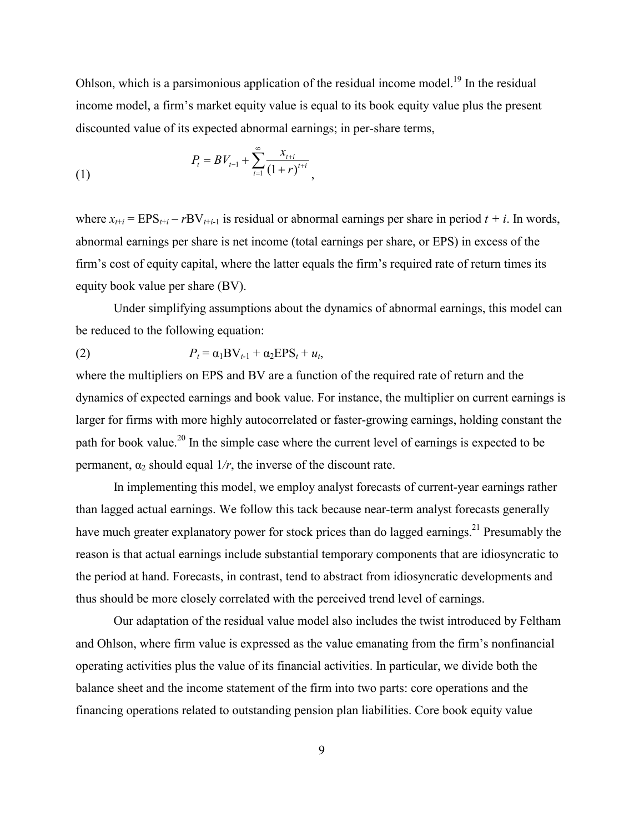Ohlson, which is a parsimonious application of the residual income model.<sup>19</sup> In the residual income model, a firm's market equity value is equal to its book equity value plus the present discounted value of its expected abnormal earnings; in per-share terms,

(1) 
$$
P_{t} = BV_{t-1} + \sum_{i=1}^{\infty} \frac{x_{t+i}}{(1+r)^{t+i}},
$$

where  $x_{t+i} = EPS_{t+i} - rBV_{t+i-1}$  is residual or abnormal earnings per share in period  $t + i$ . In words, abnormal earnings per share is net income (total earnings per share, or EPS) in excess of the firm's cost of equity capital, where the latter equals the firm's required rate of return times its equity book value per share (BV).

 Under simplifying assumptions about the dynamics of abnormal earnings, this model can be reduced to the following equation:

$$
(2) \t\t\t P_t = \alpha_1 BV_{t-1} + \alpha_2 EPS_t + u_t,
$$

where the multipliers on EPS and BV are a function of the required rate of return and the dynamics of expected earnings and book value. For instance, the multiplier on current earnings is larger for firms with more highly autocorrelated or faster-growing earnings, holding constant the path for book value.<sup>20</sup> In the simple case where the current level of earnings is expected to be permanent,  $\alpha_2$  should equal  $1/r$ , the inverse of the discount rate.

In implementing this model, we employ analyst forecasts of current-year earnings rather than lagged actual earnings. We follow this tack because near-term analyst forecasts generally have much greater explanatory power for stock prices than do lagged earnings.<sup>21</sup> Presumably the reason is that actual earnings include substantial temporary components that are idiosyncratic to the period at hand. Forecasts, in contrast, tend to abstract from idiosyncratic developments and thus should be more closely correlated with the perceived trend level of earnings.

Our adaptation of the residual value model also includes the twist introduced by Feltham and Ohlson, where firm value is expressed as the value emanating from the firm's nonfinancial operating activities plus the value of its financial activities. In particular, we divide both the balance sheet and the income statement of the firm into two parts: core operations and the financing operations related to outstanding pension plan liabilities. Core book equity value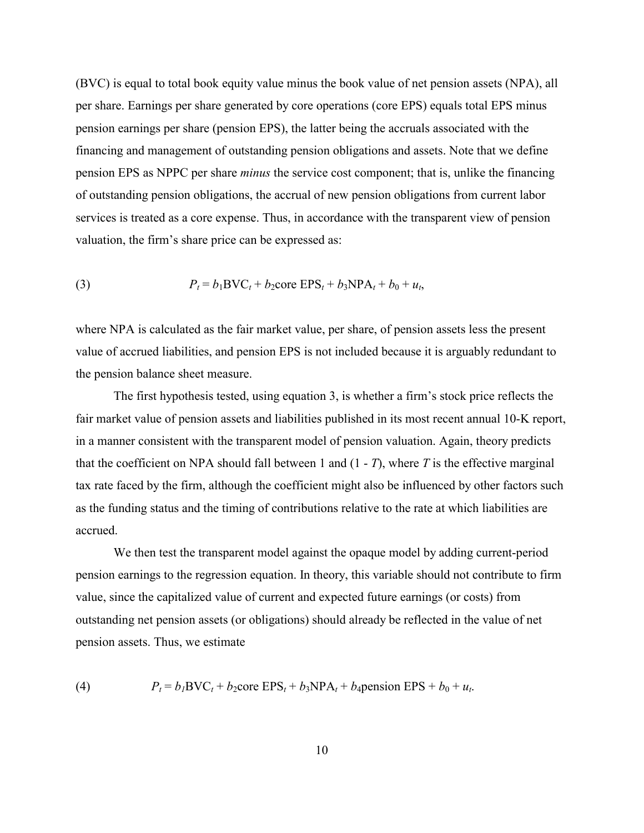(BVC) is equal to total book equity value minus the book value of net pension assets (NPA), all per share. Earnings per share generated by core operations (core EPS) equals total EPS minus pension earnings per share (pension EPS), the latter being the accruals associated with the financing and management of outstanding pension obligations and assets. Note that we define pension EPS as NPPC per share *minus* the service cost component; that is, unlike the financing of outstanding pension obligations, the accrual of new pension obligations from current labor services is treated as a core expense. Thus, in accordance with the transparent view of pension valuation, the firm's share price can be expressed as:

(3) 
$$
P_t = b_1 \text{BVC}_t + b_2 \text{core EPS}_t + b_3 \text{NPA}_t + b_0 + u_t,
$$

where NPA is calculated as the fair market value, per share, of pension assets less the present value of accrued liabilities, and pension EPS is not included because it is arguably redundant to the pension balance sheet measure.

The first hypothesis tested, using equation 3, is whether a firm's stock price reflects the fair market value of pension assets and liabilities published in its most recent annual 10-K report, in a manner consistent with the transparent model of pension valuation. Again, theory predicts that the coefficient on NPA should fall between 1 and (1 - *T*), where *T* is the effective marginal tax rate faced by the firm, although the coefficient might also be influenced by other factors such as the funding status and the timing of contributions relative to the rate at which liabilities are accrued.

We then test the transparent model against the opaque model by adding current-period pension earnings to the regression equation. In theory, this variable should not contribute to firm value, since the capitalized value of current and expected future earnings (or costs) from outstanding net pension assets (or obligations) should already be reflected in the value of net pension assets. Thus, we estimate

(4) 
$$
P_t = b_l BVC_t + b_2 \text{core } EPS_t + b_3 NPA_t + b_4 \text{pension } EPS + b_0 + u_t.
$$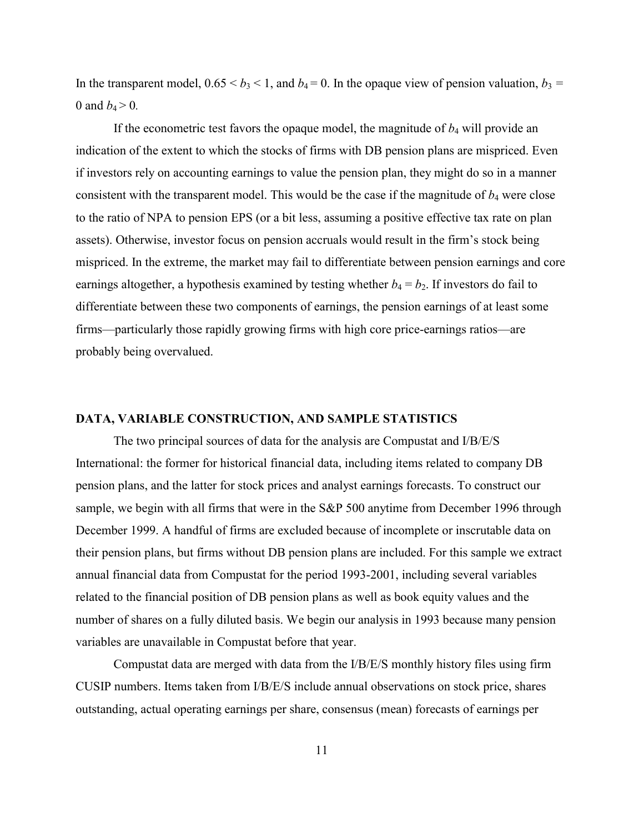In the transparent model,  $0.65 < b_3 < 1$ , and  $b_4 = 0$ . In the opaque view of pension valuation,  $b_3 =$ 0 and  $b_4 > 0$ .

If the econometric test favors the opaque model, the magnitude of  $b_4$  will provide an indication of the extent to which the stocks of firms with DB pension plans are mispriced. Even if investors rely on accounting earnings to value the pension plan, they might do so in a manner consistent with the transparent model. This would be the case if the magnitude of  $b_4$  were close to the ratio of NPA to pension EPS (or a bit less, assuming a positive effective tax rate on plan assets). Otherwise, investor focus on pension accruals would result in the firm's stock being mispriced. In the extreme, the market may fail to differentiate between pension earnings and core earnings altogether, a hypothesis examined by testing whether  $b_4 = b_2$ . If investors do fail to differentiate between these two components of earnings, the pension earnings of at least some firms—particularly those rapidly growing firms with high core price-earnings ratios—are probably being overvalued.

## **DATA, VARIABLE CONSTRUCTION, AND SAMPLE STATISTICS**

The two principal sources of data for the analysis are Compustat and I/B/E/S International: the former for historical financial data, including items related to company DB pension plans, and the latter for stock prices and analyst earnings forecasts. To construct our sample, we begin with all firms that were in the S&P 500 anytime from December 1996 through December 1999. A handful of firms are excluded because of incomplete or inscrutable data on their pension plans, but firms without DB pension plans are included. For this sample we extract annual financial data from Compustat for the period 1993-2001, including several variables related to the financial position of DB pension plans as well as book equity values and the number of shares on a fully diluted basis. We begin our analysis in 1993 because many pension variables are unavailable in Compustat before that year.

Compustat data are merged with data from the I/B/E/S monthly history files using firm CUSIP numbers. Items taken from I/B/E/S include annual observations on stock price, shares outstanding, actual operating earnings per share, consensus (mean) forecasts of earnings per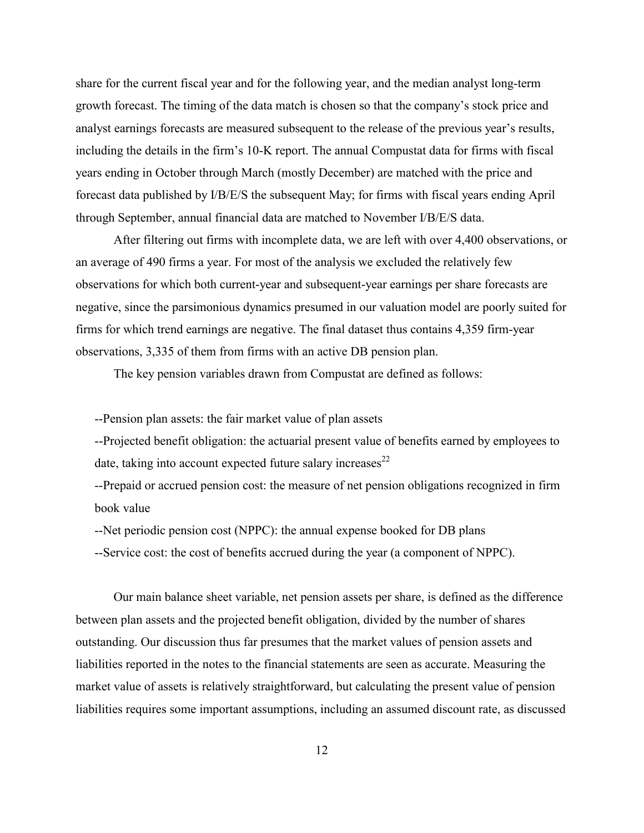share for the current fiscal year and for the following year, and the median analyst long-term growth forecast. The timing of the data match is chosen so that the company's stock price and analyst earnings forecasts are measured subsequent to the release of the previous year's results, including the details in the firm's 10-K report. The annual Compustat data for firms with fiscal years ending in October through March (mostly December) are matched with the price and forecast data published by I/B/E/S the subsequent May; for firms with fiscal years ending April through September, annual financial data are matched to November I/B/E/S data.

After filtering out firms with incomplete data, we are left with over 4,400 observations, or an average of 490 firms a year. For most of the analysis we excluded the relatively few observations for which both current-year and subsequent-year earnings per share forecasts are negative, since the parsimonious dynamics presumed in our valuation model are poorly suited for firms for which trend earnings are negative. The final dataset thus contains 4,359 firm-year observations, 3,335 of them from firms with an active DB pension plan.

The key pension variables drawn from Compustat are defined as follows:

--Pension plan assets: the fair market value of plan assets

--Projected benefit obligation: the actuarial present value of benefits earned by employees to date, taking into account expected future salary increases $^{22}$ 

--Prepaid or accrued pension cost: the measure of net pension obligations recognized in firm book value

--Net periodic pension cost (NPPC): the annual expense booked for DB plans

--Service cost: the cost of benefits accrued during the year (a component of NPPC).

Our main balance sheet variable, net pension assets per share, is defined as the difference between plan assets and the projected benefit obligation, divided by the number of shares outstanding. Our discussion thus far presumes that the market values of pension assets and liabilities reported in the notes to the financial statements are seen as accurate. Measuring the market value of assets is relatively straightforward, but calculating the present value of pension liabilities requires some important assumptions, including an assumed discount rate, as discussed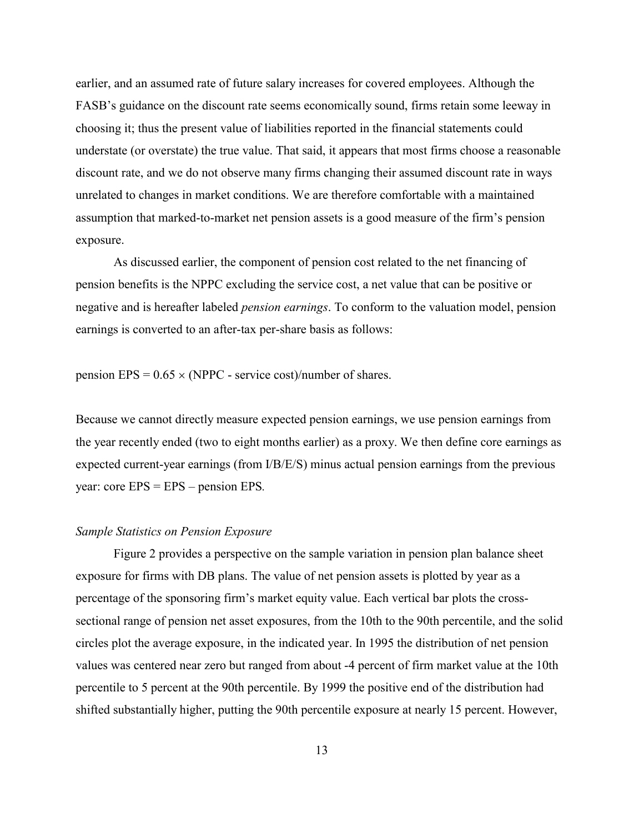earlier, and an assumed rate of future salary increases for covered employees. Although the FASB's guidance on the discount rate seems economically sound, firms retain some leeway in choosing it; thus the present value of liabilities reported in the financial statements could understate (or overstate) the true value. That said, it appears that most firms choose a reasonable discount rate, and we do not observe many firms changing their assumed discount rate in ways unrelated to changes in market conditions. We are therefore comfortable with a maintained assumption that marked-to-market net pension assets is a good measure of the firm's pension exposure.

As discussed earlier, the component of pension cost related to the net financing of pension benefits is the NPPC excluding the service cost, a net value that can be positive or negative and is hereafter labeled *pension earnings*. To conform to the valuation model, pension earnings is converted to an after-tax per-share basis as follows:

pension EPS =  $0.65 \times (NPPC -$  service cost)/number of shares.

Because we cannot directly measure expected pension earnings, we use pension earnings from the year recently ended (two to eight months earlier) as a proxy. We then define core earnings as expected current-year earnings (from I/B/E/S) minus actual pension earnings from the previous year: core EPS = EPS – pension EPS*.* 

#### *Sample Statistics on Pension Exposure*

Figure 2 provides a perspective on the sample variation in pension plan balance sheet exposure for firms with DB plans. The value of net pension assets is plotted by year as a percentage of the sponsoring firm's market equity value. Each vertical bar plots the crosssectional range of pension net asset exposures, from the 10th to the 90th percentile, and the solid circles plot the average exposure, in the indicated year. In 1995 the distribution of net pension values was centered near zero but ranged from about -4 percent of firm market value at the 10th percentile to 5 percent at the 90th percentile. By 1999 the positive end of the distribution had shifted substantially higher, putting the 90th percentile exposure at nearly 15 percent. However,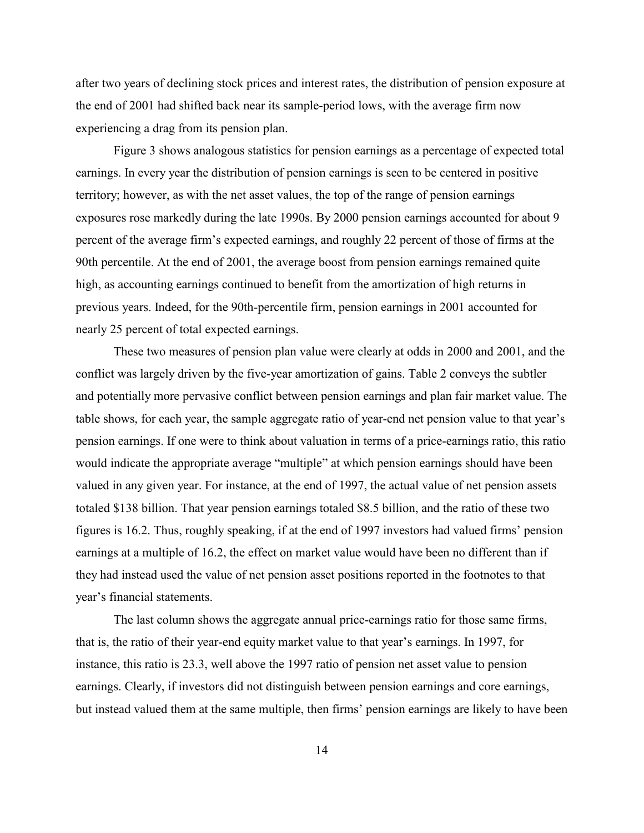after two years of declining stock prices and interest rates, the distribution of pension exposure at the end of 2001 had shifted back near its sample-period lows, with the average firm now experiencing a drag from its pension plan.

Figure 3 shows analogous statistics for pension earnings as a percentage of expected total earnings. In every year the distribution of pension earnings is seen to be centered in positive territory; however, as with the net asset values, the top of the range of pension earnings exposures rose markedly during the late 1990s. By 2000 pension earnings accounted for about 9 percent of the average firm's expected earnings, and roughly 22 percent of those of firms at the 90th percentile. At the end of 2001, the average boost from pension earnings remained quite high, as accounting earnings continued to benefit from the amortization of high returns in previous years. Indeed, for the 90th-percentile firm, pension earnings in 2001 accounted for nearly 25 percent of total expected earnings.

These two measures of pension plan value were clearly at odds in 2000 and 2001, and the conflict was largely driven by the five-year amortization of gains. Table 2 conveys the subtler and potentially more pervasive conflict between pension earnings and plan fair market value. The table shows, for each year, the sample aggregate ratio of year-end net pension value to that year's pension earnings. If one were to think about valuation in terms of a price-earnings ratio, this ratio would indicate the appropriate average "multiple" at which pension earnings should have been valued in any given year. For instance, at the end of 1997, the actual value of net pension assets totaled \$138 billion. That year pension earnings totaled \$8.5 billion, and the ratio of these two figures is 16.2. Thus, roughly speaking, if at the end of 1997 investors had valued firms' pension earnings at a multiple of 16.2, the effect on market value would have been no different than if they had instead used the value of net pension asset positions reported in the footnotes to that year's financial statements.

The last column shows the aggregate annual price-earnings ratio for those same firms, that is, the ratio of their year-end equity market value to that year's earnings. In 1997, for instance, this ratio is 23.3, well above the 1997 ratio of pension net asset value to pension earnings. Clearly, if investors did not distinguish between pension earnings and core earnings, but instead valued them at the same multiple, then firms' pension earnings are likely to have been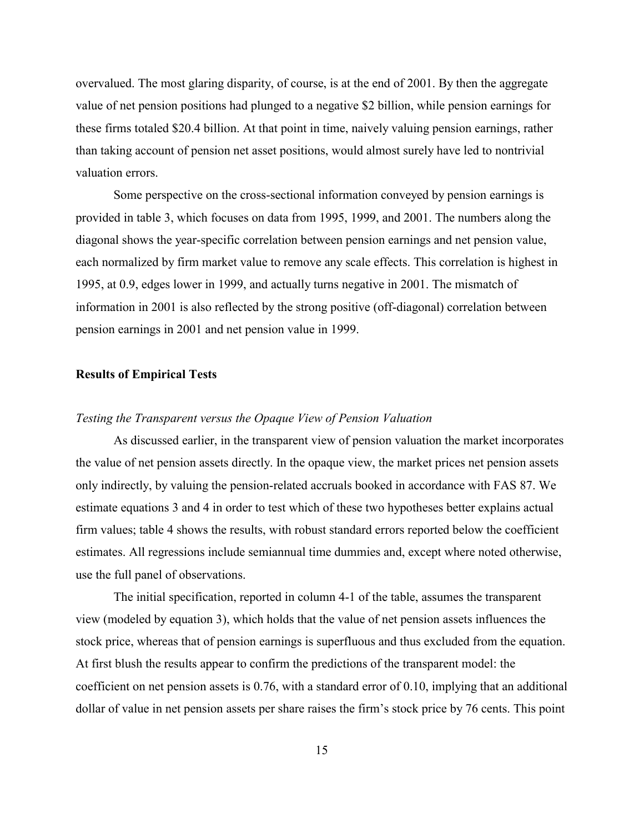overvalued. The most glaring disparity, of course, is at the end of 2001. By then the aggregate value of net pension positions had plunged to a negative \$2 billion, while pension earnings for these firms totaled \$20.4 billion. At that point in time, naively valuing pension earnings, rather than taking account of pension net asset positions, would almost surely have led to nontrivial valuation errors.

Some perspective on the cross-sectional information conveyed by pension earnings is provided in table 3, which focuses on data from 1995, 1999, and 2001. The numbers along the diagonal shows the year-specific correlation between pension earnings and net pension value, each normalized by firm market value to remove any scale effects. This correlation is highest in 1995, at 0.9, edges lower in 1999, and actually turns negative in 2001. The mismatch of information in 2001 is also reflected by the strong positive (off-diagonal) correlation between pension earnings in 2001 and net pension value in 1999.

#### **Results of Empirical Tests**

## *Testing the Transparent versus the Opaque View of Pension Valuation*

As discussed earlier, in the transparent view of pension valuation the market incorporates the value of net pension assets directly. In the opaque view, the market prices net pension assets only indirectly, by valuing the pension-related accruals booked in accordance with FAS 87. We estimate equations 3 and 4 in order to test which of these two hypotheses better explains actual firm values; table 4 shows the results, with robust standard errors reported below the coefficient estimates. All regressions include semiannual time dummies and, except where noted otherwise, use the full panel of observations.

The initial specification, reported in column 4-1 of the table, assumes the transparent view (modeled by equation 3), which holds that the value of net pension assets influences the stock price, whereas that of pension earnings is superfluous and thus excluded from the equation. At first blush the results appear to confirm the predictions of the transparent model: the coefficient on net pension assets is 0.76, with a standard error of 0.10, implying that an additional dollar of value in net pension assets per share raises the firm's stock price by 76 cents. This point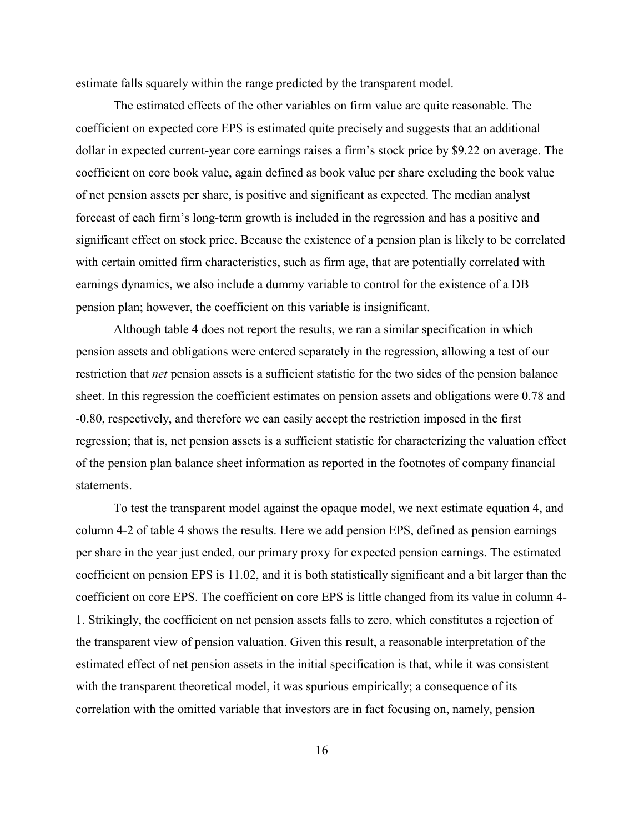estimate falls squarely within the range predicted by the transparent model.

The estimated effects of the other variables on firm value are quite reasonable. The coefficient on expected core EPS is estimated quite precisely and suggests that an additional dollar in expected current-year core earnings raises a firm's stock price by \$9.22 on average. The coefficient on core book value, again defined as book value per share excluding the book value of net pension assets per share, is positive and significant as expected. The median analyst forecast of each firm's long-term growth is included in the regression and has a positive and significant effect on stock price. Because the existence of a pension plan is likely to be correlated with certain omitted firm characteristics, such as firm age, that are potentially correlated with earnings dynamics, we also include a dummy variable to control for the existence of a DB pension plan; however, the coefficient on this variable is insignificant.

Although table 4 does not report the results, we ran a similar specification in which pension assets and obligations were entered separately in the regression, allowing a test of our restriction that *net* pension assets is a sufficient statistic for the two sides of the pension balance sheet. In this regression the coefficient estimates on pension assets and obligations were 0.78 and -0.80, respectively, and therefore we can easily accept the restriction imposed in the first regression; that is, net pension assets is a sufficient statistic for characterizing the valuation effect of the pension plan balance sheet information as reported in the footnotes of company financial statements.

To test the transparent model against the opaque model, we next estimate equation 4, and column 4-2 of table 4 shows the results. Here we add pension EPS, defined as pension earnings per share in the year just ended, our primary proxy for expected pension earnings. The estimated coefficient on pension EPS is 11.02, and it is both statistically significant and a bit larger than the coefficient on core EPS. The coefficient on core EPS is little changed from its value in column 4- 1. Strikingly, the coefficient on net pension assets falls to zero, which constitutes a rejection of the transparent view of pension valuation. Given this result, a reasonable interpretation of the estimated effect of net pension assets in the initial specification is that, while it was consistent with the transparent theoretical model, it was spurious empirically; a consequence of its correlation with the omitted variable that investors are in fact focusing on, namely, pension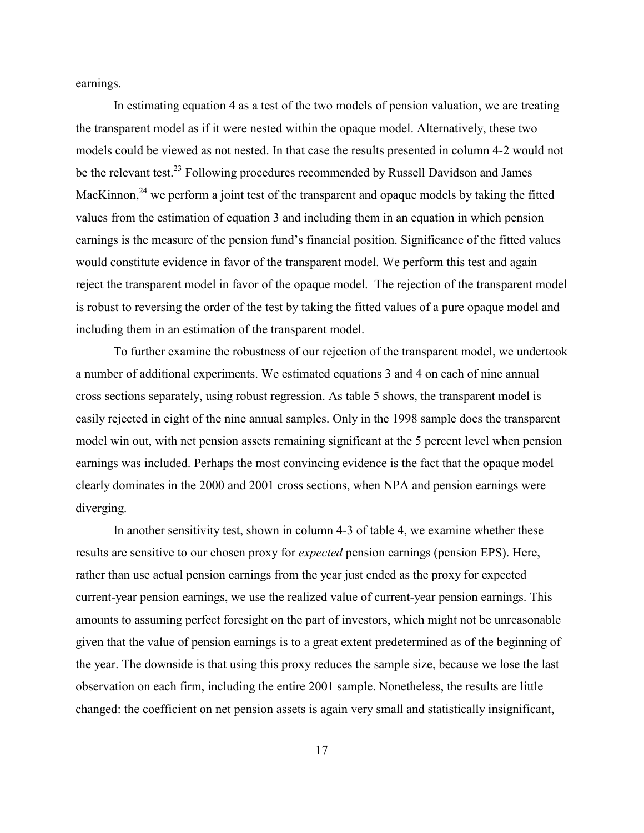earnings.

In estimating equation 4 as a test of the two models of pension valuation, we are treating the transparent model as if it were nested within the opaque model. Alternatively, these two models could be viewed as not nested. In that case the results presented in column 4-2 would not be the relevant test.<sup>23</sup> Following procedures recommended by Russell Davidson and James MacKinnon, $^{24}$  we perform a joint test of the transparent and opaque models by taking the fitted values from the estimation of equation 3 and including them in an equation in which pension earnings is the measure of the pension fund's financial position. Significance of the fitted values would constitute evidence in favor of the transparent model. We perform this test and again reject the transparent model in favor of the opaque model. The rejection of the transparent model is robust to reversing the order of the test by taking the fitted values of a pure opaque model and including them in an estimation of the transparent model.

To further examine the robustness of our rejection of the transparent model, we undertook a number of additional experiments. We estimated equations 3 and 4 on each of nine annual cross sections separately, using robust regression. As table 5 shows, the transparent model is easily rejected in eight of the nine annual samples. Only in the 1998 sample does the transparent model win out, with net pension assets remaining significant at the 5 percent level when pension earnings was included. Perhaps the most convincing evidence is the fact that the opaque model clearly dominates in the 2000 and 2001 cross sections, when NPA and pension earnings were diverging.

In another sensitivity test, shown in column 4-3 of table 4, we examine whether these results are sensitive to our chosen proxy for *expected* pension earnings (pension EPS). Here, rather than use actual pension earnings from the year just ended as the proxy for expected current-year pension earnings, we use the realized value of current-year pension earnings. This amounts to assuming perfect foresight on the part of investors, which might not be unreasonable given that the value of pension earnings is to a great extent predetermined as of the beginning of the year. The downside is that using this proxy reduces the sample size, because we lose the last observation on each firm, including the entire 2001 sample. Nonetheless, the results are little changed: the coefficient on net pension assets is again very small and statistically insignificant,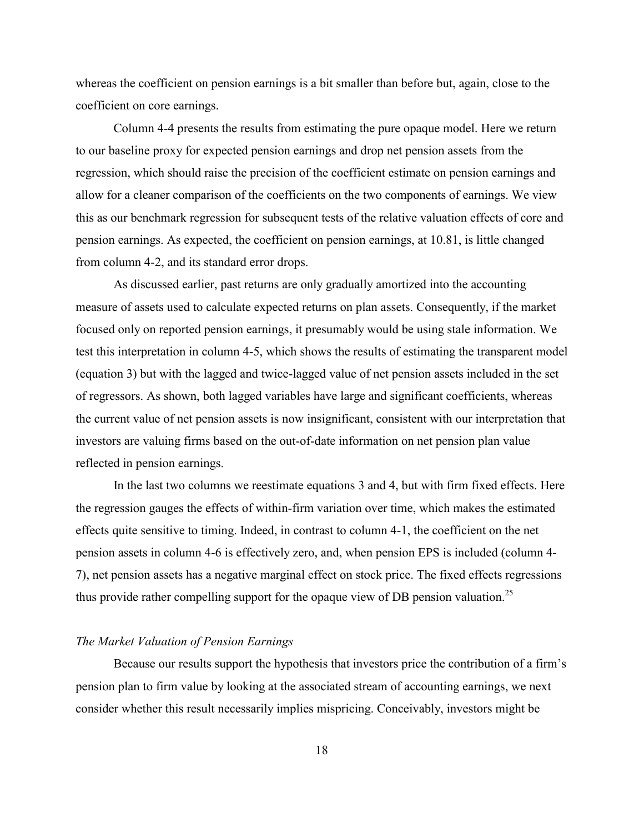whereas the coefficient on pension earnings is a bit smaller than before but, again, close to the coefficient on core earnings.

Column 4-4 presents the results from estimating the pure opaque model. Here we return to our baseline proxy for expected pension earnings and drop net pension assets from the regression, which should raise the precision of the coefficient estimate on pension earnings and allow for a cleaner comparison of the coefficients on the two components of earnings. We view this as our benchmark regression for subsequent tests of the relative valuation effects of core and pension earnings. As expected, the coefficient on pension earnings, at 10.81, is little changed from column 4-2, and its standard error drops.

As discussed earlier, past returns are only gradually amortized into the accounting measure of assets used to calculate expected returns on plan assets. Consequently, if the market focused only on reported pension earnings, it presumably would be using stale information. We test this interpretation in column 4-5, which shows the results of estimating the transparent model (equation 3) but with the lagged and twice-lagged value of net pension assets included in the set of regressors. As shown, both lagged variables have large and significant coefficients, whereas the current value of net pension assets is now insignificant, consistent with our interpretation that investors are valuing firms based on the out-of-date information on net pension plan value reflected in pension earnings.

In the last two columns we reestimate equations 3 and 4, but with firm fixed effects. Here the regression gauges the effects of within-firm variation over time, which makes the estimated effects quite sensitive to timing. Indeed, in contrast to column 4-1, the coefficient on the net pension assets in column 4-6 is effectively zero, and, when pension EPS is included (column 4- 7), net pension assets has a negative marginal effect on stock price. The fixed effects regressions thus provide rather compelling support for the opaque view of DB pension valuation.<sup>25</sup>

## *The Market Valuation of Pension Earnings*

Because our results support the hypothesis that investors price the contribution of a firm's pension plan to firm value by looking at the associated stream of accounting earnings, we next consider whether this result necessarily implies mispricing. Conceivably, investors might be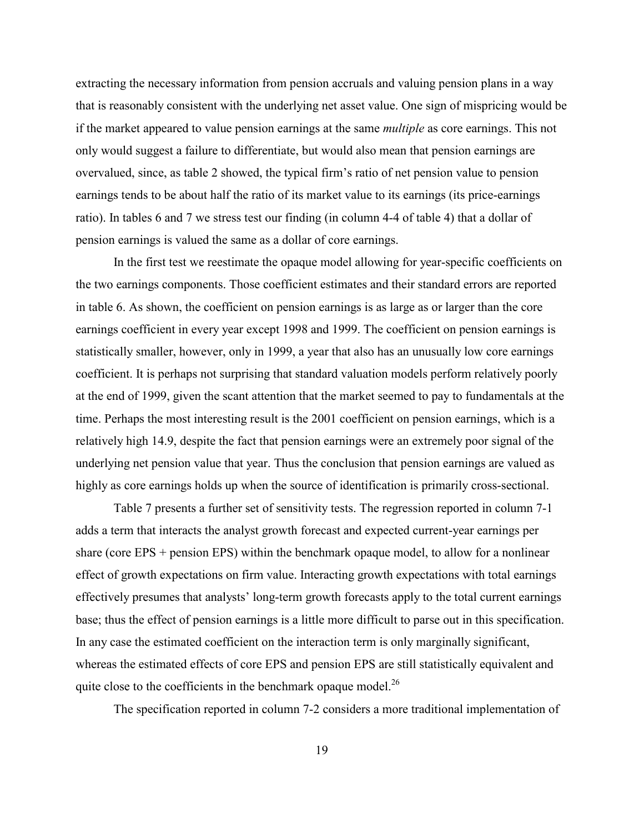extracting the necessary information from pension accruals and valuing pension plans in a way that is reasonably consistent with the underlying net asset value. One sign of mispricing would be if the market appeared to value pension earnings at the same *multiple* as core earnings. This not only would suggest a failure to differentiate, but would also mean that pension earnings are overvalued, since, as table 2 showed, the typical firm's ratio of net pension value to pension earnings tends to be about half the ratio of its market value to its earnings (its price-earnings ratio). In tables 6 and 7 we stress test our finding (in column 4-4 of table 4) that a dollar of pension earnings is valued the same as a dollar of core earnings.

In the first test we reestimate the opaque model allowing for year-specific coefficients on the two earnings components. Those coefficient estimates and their standard errors are reported in table 6. As shown, the coefficient on pension earnings is as large as or larger than the core earnings coefficient in every year except 1998 and 1999. The coefficient on pension earnings is statistically smaller, however, only in 1999, a year that also has an unusually low core earnings coefficient. It is perhaps not surprising that standard valuation models perform relatively poorly at the end of 1999, given the scant attention that the market seemed to pay to fundamentals at the time. Perhaps the most interesting result is the 2001 coefficient on pension earnings, which is a relatively high 14.9, despite the fact that pension earnings were an extremely poor signal of the underlying net pension value that year. Thus the conclusion that pension earnings are valued as highly as core earnings holds up when the source of identification is primarily cross-sectional.

Table 7 presents a further set of sensitivity tests. The regression reported in column 7-1 adds a term that interacts the analyst growth forecast and expected current-year earnings per share (core EPS + pension EPS) within the benchmark opaque model, to allow for a nonlinear effect of growth expectations on firm value. Interacting growth expectations with total earnings effectively presumes that analysts' long-term growth forecasts apply to the total current earnings base; thus the effect of pension earnings is a little more difficult to parse out in this specification. In any case the estimated coefficient on the interaction term is only marginally significant, whereas the estimated effects of core EPS and pension EPS are still statistically equivalent and quite close to the coefficients in the benchmark opaque model.<sup>26</sup>

The specification reported in column 7-2 considers a more traditional implementation of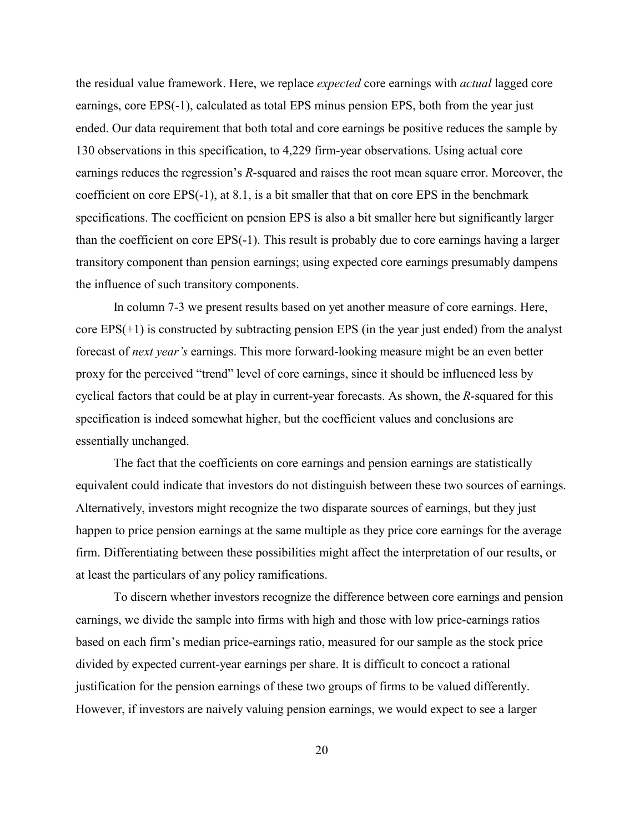the residual value framework. Here, we replace *expected* core earnings with *actual* lagged core earnings, core EPS(-1), calculated as total EPS minus pension EPS, both from the year just ended. Our data requirement that both total and core earnings be positive reduces the sample by 130 observations in this specification, to 4,229 firm-year observations. Using actual core earnings reduces the regression's *R*-squared and raises the root mean square error. Moreover, the coefficient on core EPS(-1), at 8.1, is a bit smaller that that on core EPS in the benchmark specifications. The coefficient on pension EPS is also a bit smaller here but significantly larger than the coefficient on core EPS(-1). This result is probably due to core earnings having a larger transitory component than pension earnings; using expected core earnings presumably dampens the influence of such transitory components.

In column 7-3 we present results based on yet another measure of core earnings. Here, core EPS(+1) is constructed by subtracting pension EPS (in the year just ended) from the analyst forecast of *next year's* earnings. This more forward-looking measure might be an even better proxy for the perceived "trend" level of core earnings, since it should be influenced less by cyclical factors that could be at play in current-year forecasts. As shown, the *R*-squared for this specification is indeed somewhat higher, but the coefficient values and conclusions are essentially unchanged.

The fact that the coefficients on core earnings and pension earnings are statistically equivalent could indicate that investors do not distinguish between these two sources of earnings. Alternatively, investors might recognize the two disparate sources of earnings, but they just happen to price pension earnings at the same multiple as they price core earnings for the average firm. Differentiating between these possibilities might affect the interpretation of our results, or at least the particulars of any policy ramifications.

To discern whether investors recognize the difference between core earnings and pension earnings, we divide the sample into firms with high and those with low price-earnings ratios based on each firm's median price-earnings ratio, measured for our sample as the stock price divided by expected current-year earnings per share. It is difficult to concoct a rational justification for the pension earnings of these two groups of firms to be valued differently. However, if investors are naively valuing pension earnings, we would expect to see a larger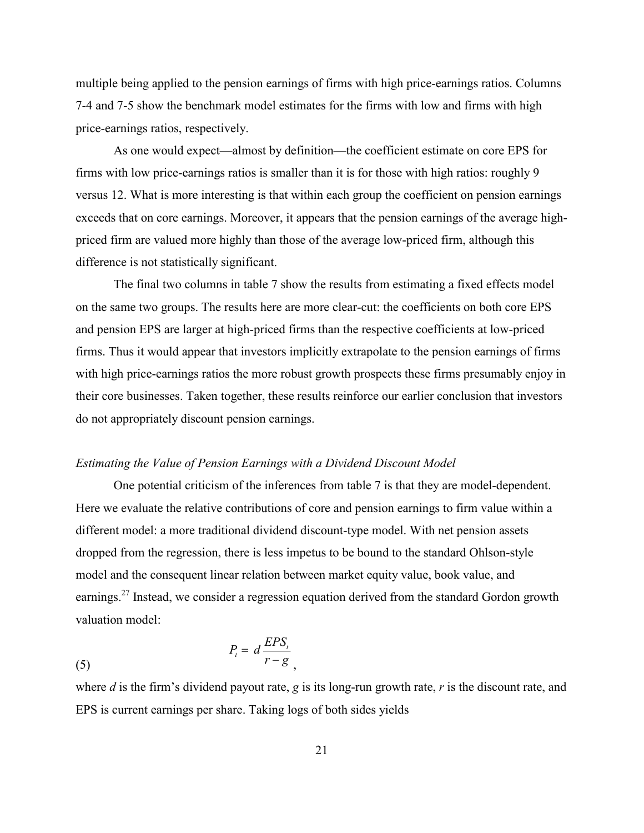multiple being applied to the pension earnings of firms with high price-earnings ratios. Columns 7-4 and 7-5 show the benchmark model estimates for the firms with low and firms with high price-earnings ratios, respectively.

As one would expect—almost by definition—the coefficient estimate on core EPS for firms with low price-earnings ratios is smaller than it is for those with high ratios: roughly 9 versus 12. What is more interesting is that within each group the coefficient on pension earnings exceeds that on core earnings. Moreover, it appears that the pension earnings of the average highpriced firm are valued more highly than those of the average low-priced firm, although this difference is not statistically significant.

The final two columns in table 7 show the results from estimating a fixed effects model on the same two groups. The results here are more clear-cut: the coefficients on both core EPS and pension EPS are larger at high-priced firms than the respective coefficients at low-priced firms. Thus it would appear that investors implicitly extrapolate to the pension earnings of firms with high price-earnings ratios the more robust growth prospects these firms presumably enjoy in their core businesses. Taken together, these results reinforce our earlier conclusion that investors do not appropriately discount pension earnings.

#### *Estimating the Value of Pension Earnings with a Dividend Discount Model*

One potential criticism of the inferences from table 7 is that they are model-dependent. Here we evaluate the relative contributions of core and pension earnings to firm value within a different model: a more traditional dividend discount-type model. With net pension assets dropped from the regression, there is less impetus to be bound to the standard Ohlson-style model and the consequent linear relation between market equity value, book value, and earnings.<sup>27</sup> Instead, we consider a regression equation derived from the standard Gordon growth valuation model:

$$
P_t = d \frac{EPS_t}{r - g},
$$

where *d* is the firm's dividend payout rate, *g* is its long-run growth rate, *r* is the discount rate, and EPS is current earnings per share. Taking logs of both sides yields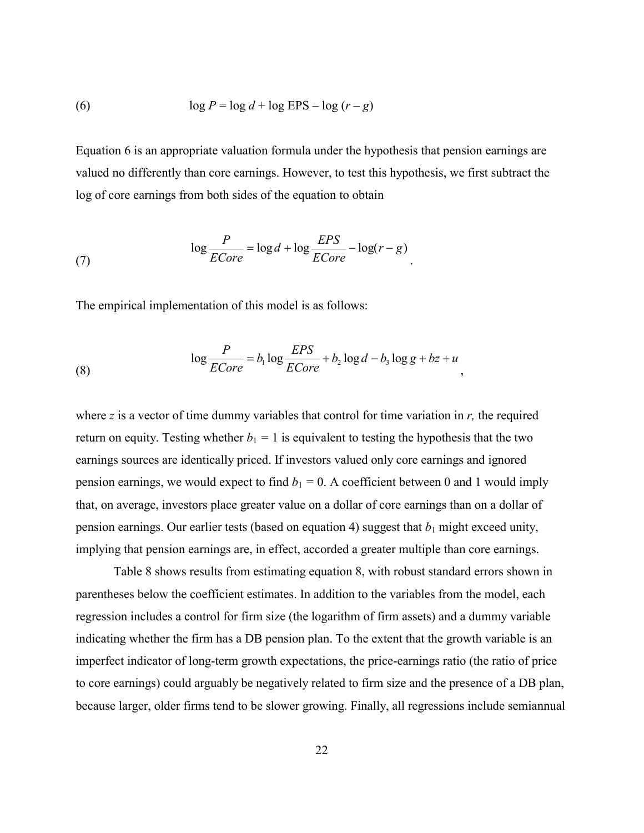(6) 
$$
\log P = \log d + \log EPS - \log (r - g)
$$

Equation 6 is an appropriate valuation formula under the hypothesis that pension earnings are valued no differently than core earnings. However, to test this hypothesis, we first subtract the log of core earnings from both sides of the equation to obtain

.

,

(7) 
$$
\log \frac{P}{ECore} = \log d + \log \frac{EPS}{ECore} - \log(r - g)
$$

The empirical implementation of this model is as follows:

(8) 
$$
\log \frac{P}{ECore} = b_1 \log \frac{EPS}{ECore} + b_2 \log d - b_3 \log g + bz + u
$$

where *z* is a vector of time dummy variables that control for time variation in *r,* the required return on equity. Testing whether  $b_1 = 1$  is equivalent to testing the hypothesis that the two earnings sources are identically priced. If investors valued only core earnings and ignored pension earnings, we would expect to find  $b_1 = 0$ . A coefficient between 0 and 1 would imply that, on average, investors place greater value on a dollar of core earnings than on a dollar of pension earnings. Our earlier tests (based on equation 4) suggest that  $b_1$  might exceed unity, implying that pension earnings are, in effect, accorded a greater multiple than core earnings.

Table 8 shows results from estimating equation 8, with robust standard errors shown in parentheses below the coefficient estimates. In addition to the variables from the model, each regression includes a control for firm size (the logarithm of firm assets) and a dummy variable indicating whether the firm has a DB pension plan. To the extent that the growth variable is an imperfect indicator of long-term growth expectations, the price-earnings ratio (the ratio of price to core earnings) could arguably be negatively related to firm size and the presence of a DB plan, because larger, older firms tend to be slower growing. Finally, all regressions include semiannual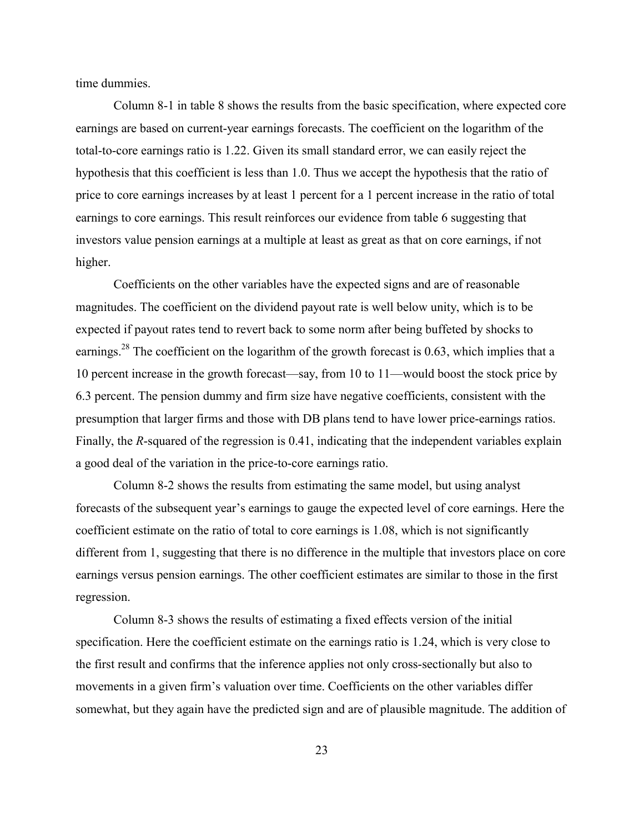time dummies.

Column 8-1 in table 8 shows the results from the basic specification, where expected core earnings are based on current-year earnings forecasts. The coefficient on the logarithm of the total-to-core earnings ratio is 1.22. Given its small standard error, we can easily reject the hypothesis that this coefficient is less than 1.0. Thus we accept the hypothesis that the ratio of price to core earnings increases by at least 1 percent for a 1 percent increase in the ratio of total earnings to core earnings. This result reinforces our evidence from table 6 suggesting that investors value pension earnings at a multiple at least as great as that on core earnings, if not higher.

Coefficients on the other variables have the expected signs and are of reasonable magnitudes. The coefficient on the dividend payout rate is well below unity, which is to be expected if payout rates tend to revert back to some norm after being buffeted by shocks to earnings.<sup>28</sup> The coefficient on the logarithm of the growth forecast is 0.63, which implies that a 10 percent increase in the growth forecast—say, from 10 to 11—would boost the stock price by 6.3 percent. The pension dummy and firm size have negative coefficients, consistent with the presumption that larger firms and those with DB plans tend to have lower price-earnings ratios. Finally, the *R*-squared of the regression is 0.41, indicating that the independent variables explain a good deal of the variation in the price-to-core earnings ratio.

Column 8-2 shows the results from estimating the same model, but using analyst forecasts of the subsequent year's earnings to gauge the expected level of core earnings. Here the coefficient estimate on the ratio of total to core earnings is 1.08, which is not significantly different from 1, suggesting that there is no difference in the multiple that investors place on core earnings versus pension earnings. The other coefficient estimates are similar to those in the first regression.

Column 8-3 shows the results of estimating a fixed effects version of the initial specification. Here the coefficient estimate on the earnings ratio is 1.24, which is very close to the first result and confirms that the inference applies not only cross-sectionally but also to movements in a given firm's valuation over time. Coefficients on the other variables differ somewhat, but they again have the predicted sign and are of plausible magnitude. The addition of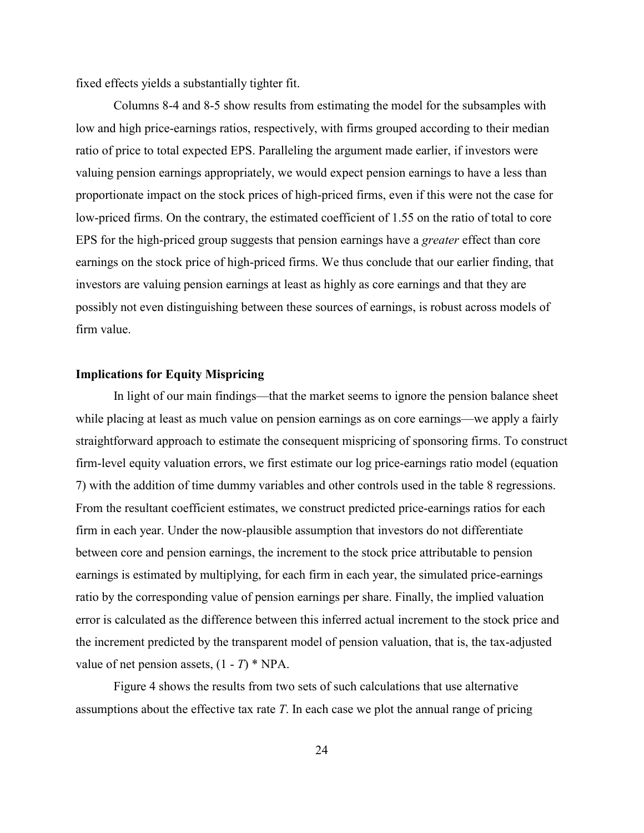fixed effects yields a substantially tighter fit.

Columns 8-4 and 8-5 show results from estimating the model for the subsamples with low and high price-earnings ratios, respectively, with firms grouped according to their median ratio of price to total expected EPS. Paralleling the argument made earlier, if investors were valuing pension earnings appropriately, we would expect pension earnings to have a less than proportionate impact on the stock prices of high-priced firms, even if this were not the case for low-priced firms. On the contrary, the estimated coefficient of 1.55 on the ratio of total to core EPS for the high-priced group suggests that pension earnings have a *greater* effect than core earnings on the stock price of high-priced firms. We thus conclude that our earlier finding, that investors are valuing pension earnings at least as highly as core earnings and that they are possibly not even distinguishing between these sources of earnings, is robust across models of firm value.

#### **Implications for Equity Mispricing**

In light of our main findings—that the market seems to ignore the pension balance sheet while placing at least as much value on pension earnings as on core earnings—we apply a fairly straightforward approach to estimate the consequent mispricing of sponsoring firms. To construct firm-level equity valuation errors, we first estimate our log price-earnings ratio model (equation 7) with the addition of time dummy variables and other controls used in the table 8 regressions. From the resultant coefficient estimates, we construct predicted price-earnings ratios for each firm in each year. Under the now-plausible assumption that investors do not differentiate between core and pension earnings, the increment to the stock price attributable to pension earnings is estimated by multiplying, for each firm in each year, the simulated price-earnings ratio by the corresponding value of pension earnings per share. Finally, the implied valuation error is calculated as the difference between this inferred actual increment to the stock price and the increment predicted by the transparent model of pension valuation, that is, the tax-adjusted value of net pension assets, (1 - *T*) \* NPA.

Figure 4 shows the results from two sets of such calculations that use alternative assumptions about the effective tax rate *T*. In each case we plot the annual range of pricing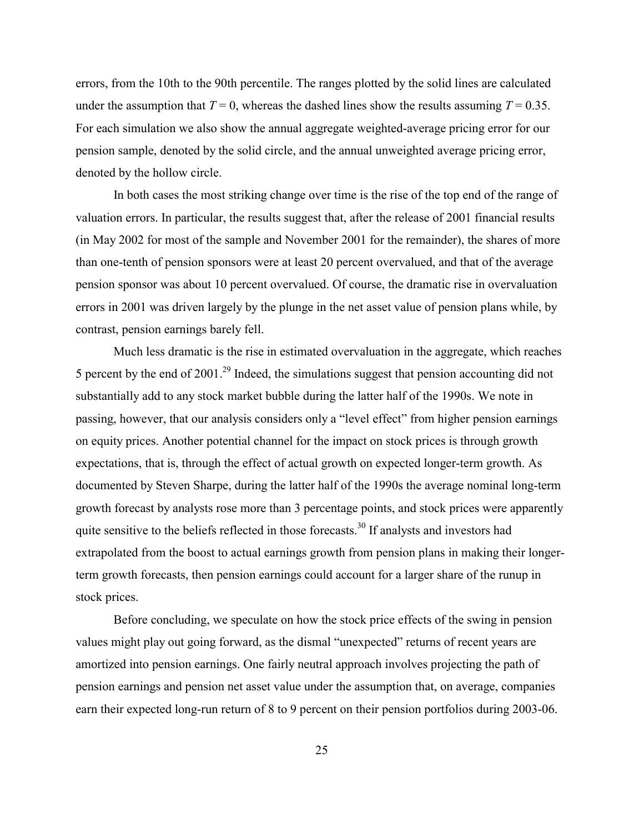errors, from the 10th to the 90th percentile. The ranges plotted by the solid lines are calculated under the assumption that  $T = 0$ , whereas the dashed lines show the results assuming  $T = 0.35$ . For each simulation we also show the annual aggregate weighted-average pricing error for our pension sample, denoted by the solid circle, and the annual unweighted average pricing error, denoted by the hollow circle.

In both cases the most striking change over time is the rise of the top end of the range of valuation errors. In particular, the results suggest that, after the release of 2001 financial results (in May 2002 for most of the sample and November 2001 for the remainder), the shares of more than one-tenth of pension sponsors were at least 20 percent overvalued, and that of the average pension sponsor was about 10 percent overvalued. Of course, the dramatic rise in overvaluation errors in 2001 was driven largely by the plunge in the net asset value of pension plans while, by contrast, pension earnings barely fell.

Much less dramatic is the rise in estimated overvaluation in the aggregate, which reaches 5 percent by the end of  $2001<sup>29</sup>$  Indeed, the simulations suggest that pension accounting did not substantially add to any stock market bubble during the latter half of the 1990s. We note in passing, however, that our analysis considers only a "level effect" from higher pension earnings on equity prices. Another potential channel for the impact on stock prices is through growth expectations, that is, through the effect of actual growth on expected longer-term growth. As documented by Steven Sharpe, during the latter half of the 1990s the average nominal long-term growth forecast by analysts rose more than 3 percentage points, and stock prices were apparently quite sensitive to the beliefs reflected in those forecasts.<sup>30</sup> If analysts and investors had extrapolated from the boost to actual earnings growth from pension plans in making their longerterm growth forecasts, then pension earnings could account for a larger share of the runup in stock prices.

Before concluding, we speculate on how the stock price effects of the swing in pension values might play out going forward, as the dismal "unexpected" returns of recent years are amortized into pension earnings. One fairly neutral approach involves projecting the path of pension earnings and pension net asset value under the assumption that, on average, companies earn their expected long-run return of 8 to 9 percent on their pension portfolios during 2003-06.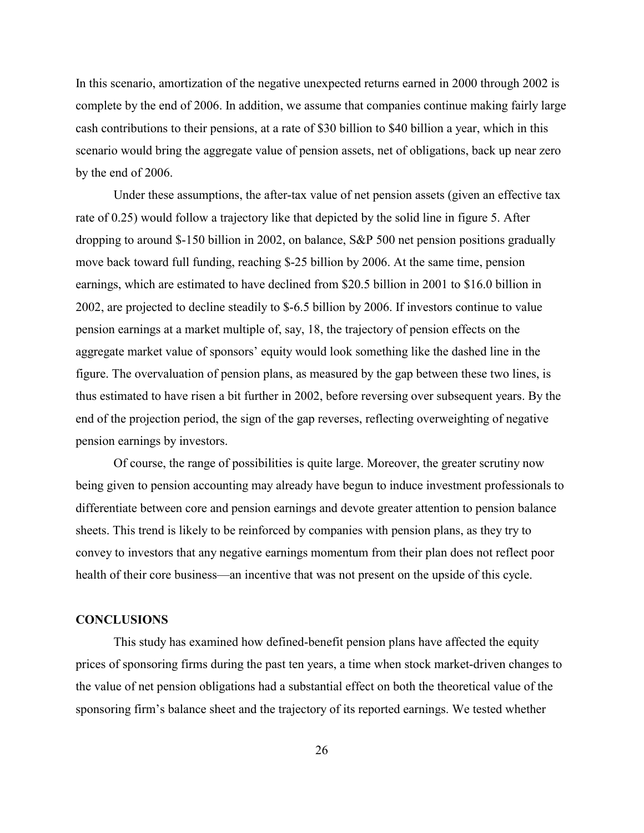In this scenario, amortization of the negative unexpected returns earned in 2000 through 2002 is complete by the end of 2006. In addition, we assume that companies continue making fairly large cash contributions to their pensions, at a rate of \$30 billion to \$40 billion a year, which in this scenario would bring the aggregate value of pension assets, net of obligations, back up near zero by the end of 2006.

Under these assumptions, the after-tax value of net pension assets (given an effective tax rate of 0.25) would follow a trajectory like that depicted by the solid line in figure 5. After dropping to around \$-150 billion in 2002, on balance, S&P 500 net pension positions gradually move back toward full funding, reaching \$-25 billion by 2006. At the same time, pension earnings, which are estimated to have declined from \$20.5 billion in 2001 to \$16.0 billion in 2002, are projected to decline steadily to \$-6.5 billion by 2006. If investors continue to value pension earnings at a market multiple of, say, 18, the trajectory of pension effects on the aggregate market value of sponsors' equity would look something like the dashed line in the figure. The overvaluation of pension plans, as measured by the gap between these two lines, is thus estimated to have risen a bit further in 2002, before reversing over subsequent years. By the end of the projection period, the sign of the gap reverses, reflecting overweighting of negative pension earnings by investors.

Of course, the range of possibilities is quite large. Moreover, the greater scrutiny now being given to pension accounting may already have begun to induce investment professionals to differentiate between core and pension earnings and devote greater attention to pension balance sheets. This trend is likely to be reinforced by companies with pension plans, as they try to convey to investors that any negative earnings momentum from their plan does not reflect poor health of their core business—an incentive that was not present on the upside of this cycle.

## **CONCLUSIONS**

This study has examined how defined-benefit pension plans have affected the equity prices of sponsoring firms during the past ten years, a time when stock market-driven changes to the value of net pension obligations had a substantial effect on both the theoretical value of the sponsoring firm's balance sheet and the trajectory of its reported earnings. We tested whether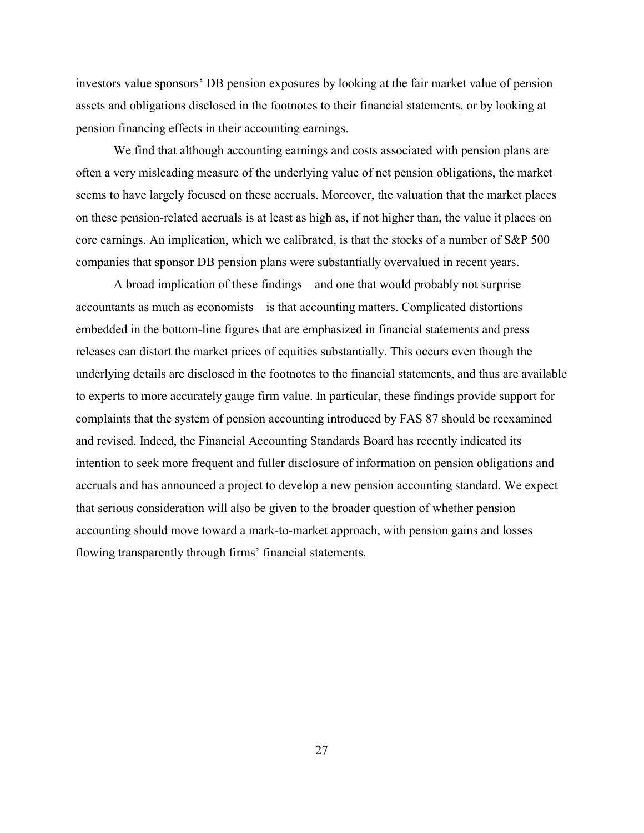investors value sponsors' DB pension exposures by looking at the fair market value of pension assets and obligations disclosed in the footnotes to their financial statements, or by looking at pension financing effects in their accounting earnings.

We find that although accounting earnings and costs associated with pension plans are often a very misleading measure of the underlying value of net pension obligations, the market seems to have largely focused on these accruals. Moreover, the valuation that the market places on these pension-related accruals is at least as high as, if not higher than, the value it places on core earnings. An implication, which we calibrated, is that the stocks of a number of S&P 500 companies that sponsor DB pension plans were substantially overvalued in recent years.

A broad implication of these findings—and one that would probably not surprise accountants as much as economists—is that accounting matters. Complicated distortions embedded in the bottom-line figures that are emphasized in financial statements and press releases can distort the market prices of equities substantially. This occurs even though the underlying details are disclosed in the footnotes to the financial statements, and thus are available to experts to more accurately gauge firm value. In particular, these findings provide support for complaints that the system of pension accounting introduced by FAS 87 should be reexamined and revised. Indeed, the Financial Accounting Standards Board has recently indicated its intention to seek more frequent and fuller disclosure of information on pension obligations and accruals and has announced a project to develop a new pension accounting standard. We expect that serious consideration will also be given to the broader question of whether pension accounting should move toward a mark-to-market approach, with pension gains and losses flowing transparently through firms' financial statements.

27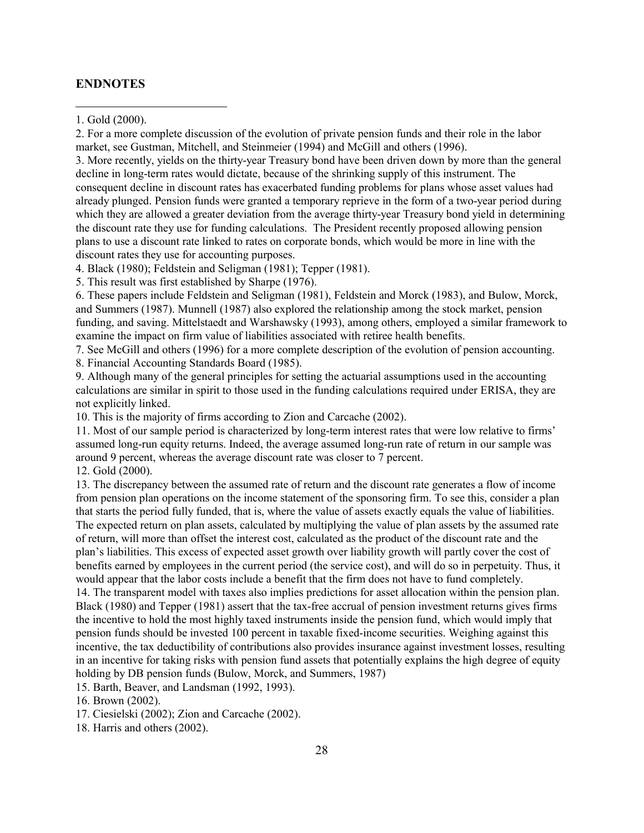## **ENDNOTES**

1. Gold (2000).

 $\overline{a}$ 

2. For a more complete discussion of the evolution of private pension funds and their role in the labor market, see Gustman, Mitchell, and Steinmeier (1994) and McGill and others (1996).

3. More recently, yields on the thirty-year Treasury bond have been driven down by more than the general decline in long-term rates would dictate, because of the shrinking supply of this instrument. The consequent decline in discount rates has exacerbated funding problems for plans whose asset values had already plunged. Pension funds were granted a temporary reprieve in the form of a two-year period during which they are allowed a greater deviation from the average thirty-year Treasury bond yield in determining the discount rate they use for funding calculations. The President recently proposed allowing pension plans to use a discount rate linked to rates on corporate bonds, which would be more in line with the discount rates they use for accounting purposes.

4. Black (1980); Feldstein and Seligman (1981); Tepper (1981).

5. This result was first established by Sharpe (1976).

6. These papers include Feldstein and Seligman (1981), Feldstein and Morck (1983), and Bulow, Morck, and Summers (1987). Munnell (1987) also explored the relationship among the stock market, pension funding, and saving. Mittelstaedt and Warshawsky (1993), among others, employed a similar framework to examine the impact on firm value of liabilities associated with retiree health benefits.

7. See McGill and others (1996) for a more complete description of the evolution of pension accounting. 8. Financial Accounting Standards Board (1985).

9. Although many of the general principles for setting the actuarial assumptions used in the accounting calculations are similar in spirit to those used in the funding calculations required under ERISA, they are not explicitly linked.

10. This is the majority of firms according to Zion and Carcache (2002).

11. Most of our sample period is characterized by long-term interest rates that were low relative to firms' assumed long-run equity returns. Indeed, the average assumed long-run rate of return in our sample was around 9 percent, whereas the average discount rate was closer to 7 percent.

12. Gold (2000).

13. The discrepancy between the assumed rate of return and the discount rate generates a flow of income from pension plan operations on the income statement of the sponsoring firm. To see this, consider a plan that starts the period fully funded, that is, where the value of assets exactly equals the value of liabilities. The expected return on plan assets, calculated by multiplying the value of plan assets by the assumed rate of return, will more than offset the interest cost, calculated as the product of the discount rate and the plan's liabilities. This excess of expected asset growth over liability growth will partly cover the cost of benefits earned by employees in the current period (the service cost), and will do so in perpetuity. Thus, it would appear that the labor costs include a benefit that the firm does not have to fund completely.

14. The transparent model with taxes also implies predictions for asset allocation within the pension plan. Black (1980) and Tepper (1981) assert that the tax-free accrual of pension investment returns gives firms the incentive to hold the most highly taxed instruments inside the pension fund, which would imply that pension funds should be invested 100 percent in taxable fixed-income securities. Weighing against this incentive, the tax deductibility of contributions also provides insurance against investment losses, resulting in an incentive for taking risks with pension fund assets that potentially explains the high degree of equity holding by DB pension funds (Bulow, Morck, and Summers, 1987)

15. Barth, Beaver, and Landsman (1992, 1993).

16. Brown (2002).

17. Ciesielski (2002); Zion and Carcache (2002).

18. Harris and others (2002).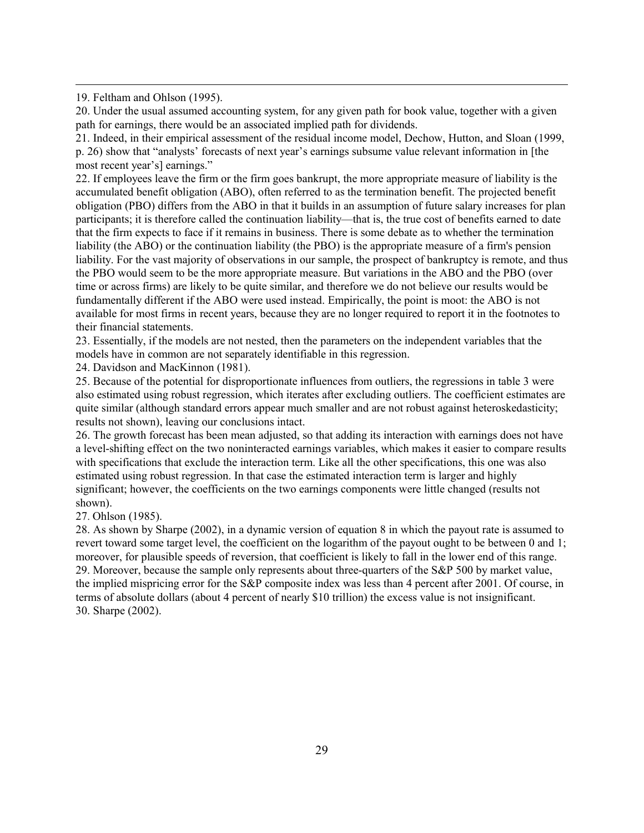19. Feltham and Ohlson (1995).

 $\overline{a}$ 

20. Under the usual assumed accounting system, for any given path for book value, together with a given path for earnings, there would be an associated implied path for dividends.

21. Indeed, in their empirical assessment of the residual income model, Dechow, Hutton, and Sloan (1999, p. 26) show that "analysts' forecasts of next year's earnings subsume value relevant information in [the most recent year's] earnings."

22. If employees leave the firm or the firm goes bankrupt, the more appropriate measure of liability is the accumulated benefit obligation (ABO), often referred to as the termination benefit. The projected benefit obligation (PBO) differs from the ABO in that it builds in an assumption of future salary increases for plan participants; it is therefore called the continuation liability—that is, the true cost of benefits earned to date that the firm expects to face if it remains in business. There is some debate as to whether the termination liability (the ABO) or the continuation liability (the PBO) is the appropriate measure of a firm's pension liability. For the vast majority of observations in our sample, the prospect of bankruptcy is remote, and thus the PBO would seem to be the more appropriate measure. But variations in the ABO and the PBO (over time or across firms) are likely to be quite similar, and therefore we do not believe our results would be fundamentally different if the ABO were used instead. Empirically, the point is moot: the ABO is not available for most firms in recent years, because they are no longer required to report it in the footnotes to their financial statements.

23. Essentially, if the models are not nested, then the parameters on the independent variables that the models have in common are not separately identifiable in this regression.

24. Davidson and MacKinnon (1981).

25. Because of the potential for disproportionate influences from outliers, the regressions in table 3 were also estimated using robust regression, which iterates after excluding outliers. The coefficient estimates are quite similar (although standard errors appear much smaller and are not robust against heteroskedasticity; results not shown), leaving our conclusions intact.

26. The growth forecast has been mean adjusted, so that adding its interaction with earnings does not have a level-shifting effect on the two noninteracted earnings variables, which makes it easier to compare results with specifications that exclude the interaction term. Like all the other specifications, this one was also estimated using robust regression. In that case the estimated interaction term is larger and highly significant; however, the coefficients on the two earnings components were little changed (results not shown).

## 27. Ohlson (1985).

28. As shown by Sharpe (2002), in a dynamic version of equation 8 in which the payout rate is assumed to revert toward some target level, the coefficient on the logarithm of the payout ought to be between 0 and 1; moreover, for plausible speeds of reversion, that coefficient is likely to fall in the lower end of this range. 29. Moreover, because the sample only represents about three-quarters of the S&P 500 by market value, the implied mispricing error for the S&P composite index was less than 4 percent after 2001. Of course, in terms of absolute dollars (about 4 percent of nearly \$10 trillion) the excess value is not insignificant. 30. Sharpe (2002).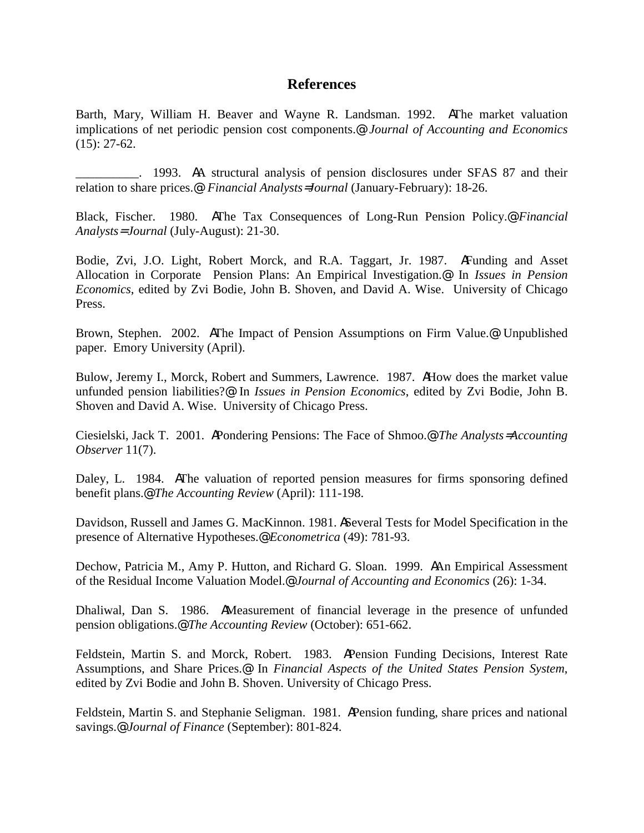## **References**

Barth, Mary, William H. Beaver and Wayne R. Landsman. 1992. AThe market valuation implications of net periodic pension cost components.@ *Journal of Accounting and Economics* (15): 27-62.

\_\_\_\_\_\_\_\_\_\_. 1993. AA structural analysis of pension disclosures under SFAS 87 and their relation to share prices.@ *Financial Analysts*= *Journal* (January-February): 18-26.

Black, Fischer. 1980. AThe Tax Consequences of Long-Run Pension Policy.@ *Financial Analysts*= *Journal* (July-August): 21-30.

Bodie, Zvi, J.O. Light, Robert Morck, and R.A. Taggart, Jr. 1987. AFunding and Asset Allocation in Corporate Pension Plans: An Empirical Investigation.@ In *Issues in Pension Economics*, edited by Zvi Bodie, John B. Shoven, and David A. Wise. University of Chicago Press.

Brown, Stephen. 2002. AThe Impact of Pension Assumptions on Firm Value.@ Unpublished paper. Emory University (April).

Bulow, Jeremy I., Morck, Robert and Summers, Lawrence. 1987. AHow does the market value unfunded pension liabilities?@ In *Issues in Pension Economics*, edited by Zvi Bodie, John B. Shoven and David A. Wise. University of Chicago Press.

Ciesielski, Jack T. 2001. APondering Pensions: The Face of Shmoo.@ *The Analysts*= *Accounting Observer* 11(7).

Daley, L. 1984. AThe valuation of reported pension measures for firms sponsoring defined benefit plans.@ *The Accounting Review* (April): 111-198.

Davidson, Russell and James G. MacKinnon. 1981. ASeveral Tests for Model Specification in the presence of Alternative Hypotheses.@ *Econometrica* (49): 781-93.

Dechow, Patricia M., Amy P. Hutton, and Richard G. Sloan. 1999. AAn Empirical Assessment of the Residual Income Valuation Model.@ *Journal of Accounting and Economics* (26): 1-34.

Dhaliwal, Dan S. 1986. AMeasurement of financial leverage in the presence of unfunded pension obligations.@ *The Accounting Review* (October): 651-662.

Feldstein, Martin S. and Morck, Robert. 1983. APension Funding Decisions, Interest Rate Assumptions, and Share Prices.@ In *Financial Aspects of the United States Pension System*, edited by Zvi Bodie and John B. Shoven. University of Chicago Press.

Feldstein, Martin S. and Stephanie Seligman. 1981. APension funding, share prices and national savings.@ *Journal of Finance* (September): 801-824.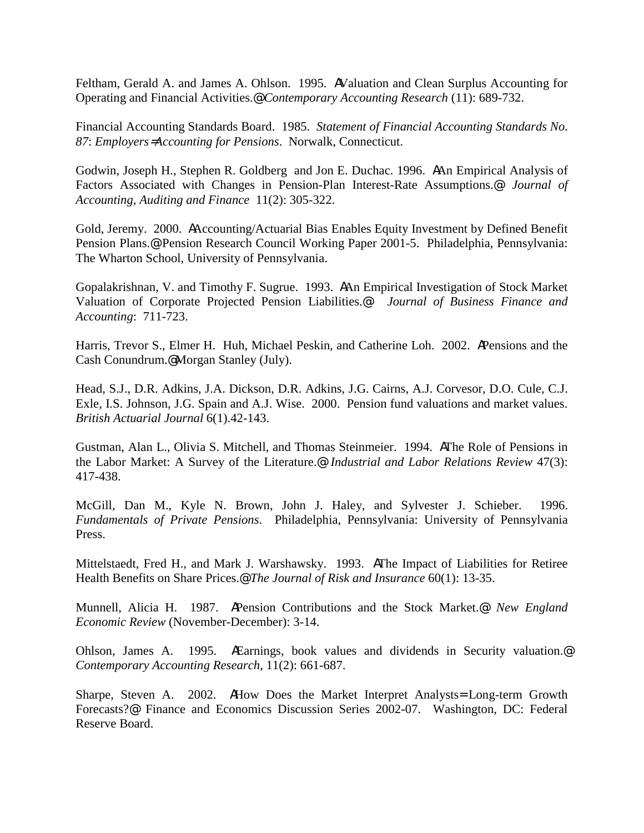Feltham, Gerald A. and James A. Ohlson. 1995. AValuation and Clean Surplus Accounting for Operating and Financial Activities.@ *Contemporary Accounting Research* (11): 689-732.

Financial Accounting Standards Board. 1985. *Statement of Financial Accounting Standards No. 87*: *Employers*= *Accounting for Pensions*. Norwalk, Connecticut.

Godwin, Joseph H., Stephen R. Goldberg and Jon E. Duchac. 1996. AAn Empirical Analysis of Factors Associated with Changes in Pension-Plan Interest-Rate Assumptions.@ *Journal of Accounting, Auditing and Finance* 11(2): 305-322.

Gold, Jeremy. 2000. AAccounting/Actuarial Bias Enables Equity Investment by Defined Benefit Pension Plans.@ Pension Research Council Working Paper 2001-5. Philadelphia, Pennsylvania: The Wharton School, University of Pennsylvania.

Gopalakrishnan, V. and Timothy F. Sugrue. 1993. AAn Empirical Investigation of Stock Market Valuation of Corporate Projected Pension Liabilities.@ *Journal of Business Finance and Accounting*: 711-723.

Harris, Trevor S., Elmer H. Huh, Michael Peskin, and Catherine Loh. 2002. APensions and the Cash Conundrum.@ Morgan Stanley (July).

Head, S.J., D.R. Adkins, J.A. Dickson, D.R. Adkins, J.G. Cairns, A.J. Corvesor, D.O. Cule, C.J. Exle, I.S. Johnson, J.G. Spain and A.J. Wise. 2000. Pension fund valuations and market values. *British Actuarial Journal* 6(1).42-143.

Gustman, Alan L., Olivia S. Mitchell, and Thomas Steinmeier. 1994. AThe Role of Pensions in the Labor Market: A Survey of the Literature.@ *Industrial and Labor Relations Review* 47(3): 417-438.

McGill, Dan M., Kyle N. Brown, John J. Haley, and Sylvester J. Schieber. 1996. *Fundamentals of Private Pensions*. Philadelphia, Pennsylvania: University of Pennsylvania Press.

Mittelstaedt, Fred H., and Mark J. Warshawsky. 1993. AThe Impact of Liabilities for Retiree Health Benefits on Share Prices.@ *The Journal of Risk and Insurance* 60(1): 13-35.

Munnell, Alicia H. 1987. APension Contributions and the Stock Market.@ *New England Economic Review* (November-December): 3-14.

Ohlson, James A. 1995. AEarnings, book values and dividends in Security valuation.@ *Contemporary Accounting Research*, 11(2): 661-687.

Sharpe, Steven A. 2002. AHow Does the Market Interpret Analysts= Long-term Growth Forecasts?@ Finance and Economics Discussion Series 2002-07. Washington, DC: Federal Reserve Board.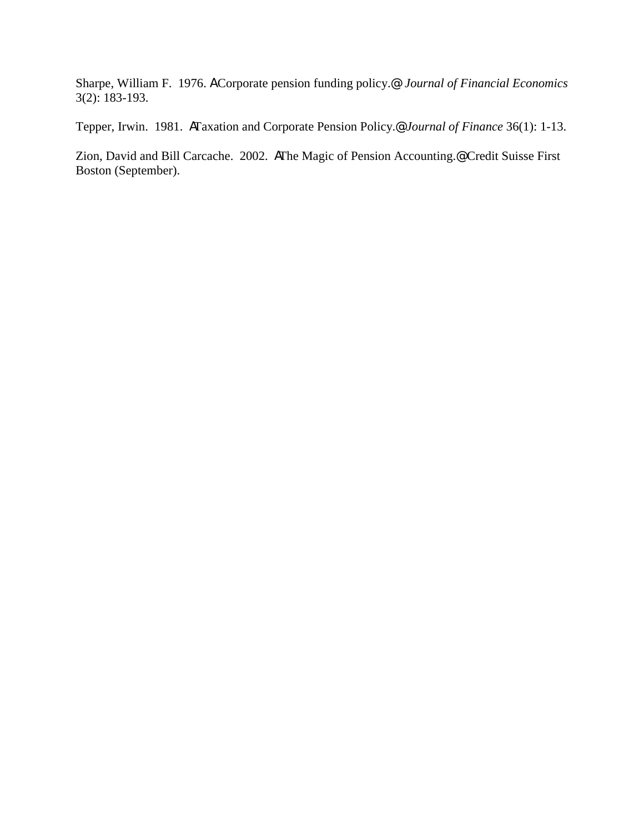Sharpe, William F. 1976. A Corporate pension funding policy.@ *Journal of Financial Economics* 3(2): 183-193.

Tepper, Irwin. 1981. ATaxation and Corporate Pension Policy.@ *Journal of Finance* 36(1): 1-13.

Zion, David and Bill Carcache. 2002. AThe Magic of Pension Accounting.@ Credit Suisse First Boston (September).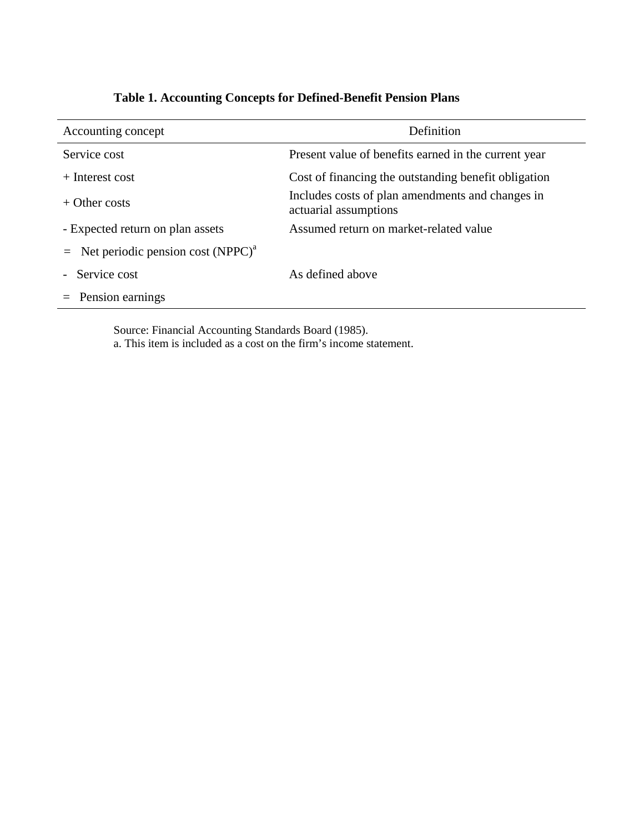| Accounting concept                                | Definition                                                                |
|---------------------------------------------------|---------------------------------------------------------------------------|
| Service cost                                      | Present value of benefits earned in the current year                      |
| $+$ Interest cost                                 | Cost of financing the outstanding benefit obligation                      |
| $+$ Other costs                                   | Includes costs of plan amendments and changes in<br>actuarial assumptions |
| - Expected return on plan assets                  | Assumed return on market-related value                                    |
| $=$ Net periodic pension cost (NPPC) <sup>a</sup> |                                                                           |
| - Service cost                                    | As defined above                                                          |
| $=$ Pension earnings                              |                                                                           |

# **Table 1. Accounting Concepts for Defined-Benefit Pension Plans**

Source: Financial Accounting Standards Board (1985). a. This item is included as a cost on the firm's income statement.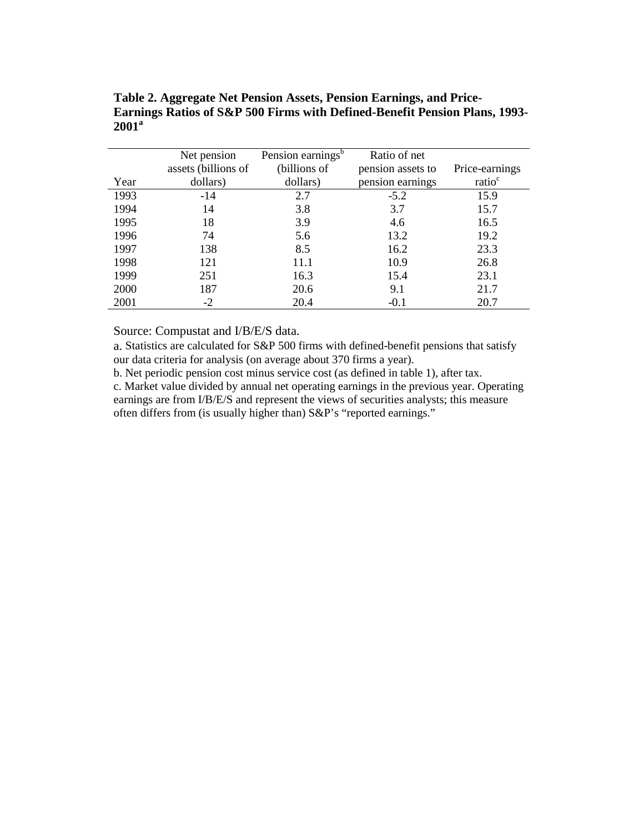|      | Net pension         | Pension earnings <sup>t</sup> | Ratio of net      |                    |
|------|---------------------|-------------------------------|-------------------|--------------------|
|      | assets (billions of | (billions of                  | pension assets to | Price-earnings     |
| Year | dollars)            | dollars)                      | pension earnings  | ratio <sup>c</sup> |
| 1993 | $-14$               | 2.7                           | $-5.2$            | 15.9               |
| 1994 | 14                  | 3.8                           | 3.7               | 15.7               |
| 1995 | 18                  | 3.9                           | 4.6               | 16.5               |
| 1996 | 74                  | 5.6                           | 13.2              | 19.2               |
| 1997 | 138                 | 8.5                           | 16.2              | 23.3               |
| 1998 | 121                 | 11.1                          | 10.9              | 26.8               |
| 1999 | 251                 | 16.3                          | 15.4              | 23.1               |
| 2000 | 187                 | 20.6                          | 9.1               | 21.7               |
| 2001 | $-2$                | 20.4                          | $-0.1$            | 20.7               |

**Table 2. Aggregate Net Pension Assets, Pension Earnings, and Price-Earnings Ratios of S&P 500 Firms with Defined-Benefit Pension Plans, 1993- 2001a** 

Source: Compustat and I/B/E/S data.

a. Statistics are calculated for S&P 500 firms with defined-benefit pensions that satisfy our data criteria for analysis (on average about 370 firms a year).

b. Net periodic pension cost minus service cost (as defined in table 1), after tax.

c. Market value divided by annual net operating earnings in the previous year. Operating earnings are from I/B/E/S and represent the views of securities analysts; this measure often differs from (is usually higher than) S&P's "reported earnings."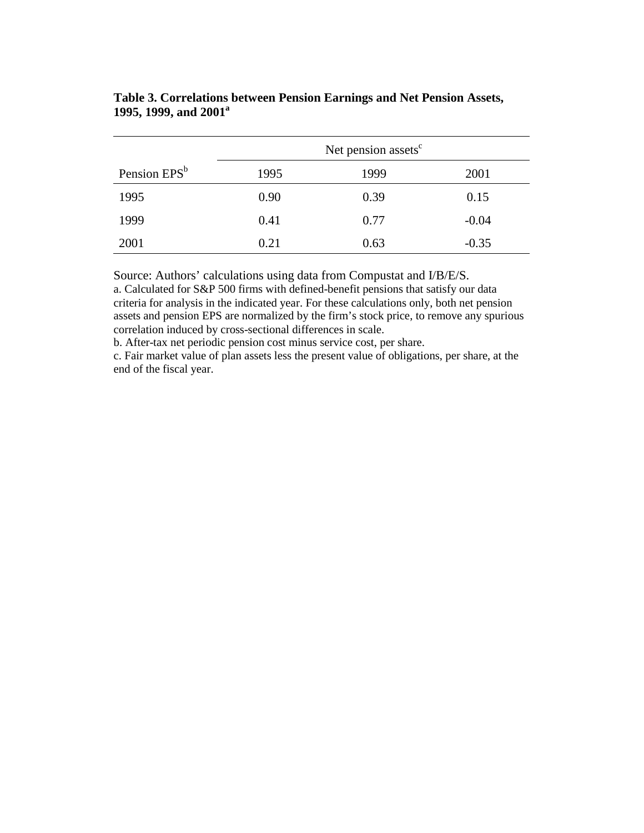|                          | Net pension assets <sup>c</sup> |      |         |  |  |  |  |  |
|--------------------------|---------------------------------|------|---------|--|--|--|--|--|
| Pension EPS <sup>b</sup> | 1995                            | 1999 | 2001    |  |  |  |  |  |
| 1995                     | 0.90                            | 0.39 | 0.15    |  |  |  |  |  |
| 1999                     | 0.41                            | 0.77 | $-0.04$ |  |  |  |  |  |
| 2001                     | 0.21                            | 0.63 | $-0.35$ |  |  |  |  |  |

**Table 3. Correlations between Pension Earnings and Net Pension Assets, 1995, 1999, and 2001a**

Source: Authors' calculations using data from Compustat and I/B/E/S.

a. Calculated for S&P 500 firms with defined-benefit pensions that satisfy our data criteria for analysis in the indicated year. For these calculations only, both net pension assets and pension EPS are normalized by the firm's stock price, to remove any spurious correlation induced by cross-sectional differences in scale.

b. After-tax net periodic pension cost minus service cost, per share.

c. Fair market value of plan assets less the present value of obligations, per share, at the end of the fiscal year.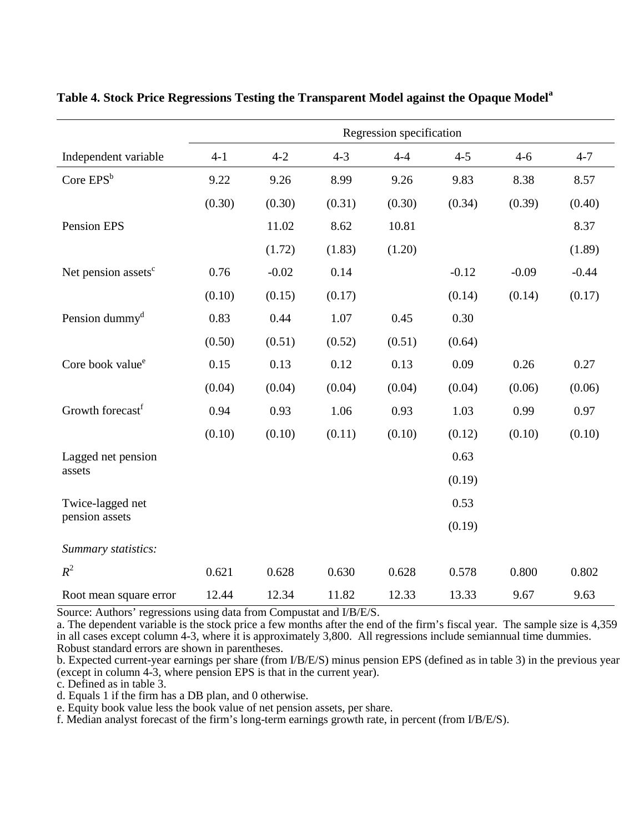|                                 | Regression specification |         |         |         |         |         |         |  |  |  |
|---------------------------------|--------------------------|---------|---------|---------|---------|---------|---------|--|--|--|
| Independent variable            | $4 - 1$                  | $4 - 2$ | $4 - 3$ | $4 - 4$ | $4 - 5$ | $4 - 6$ | $4 - 7$ |  |  |  |
| Core EPS <sup>b</sup>           | 9.22                     | 9.26    | 8.99    | 9.26    | 9.83    | 8.38    | 8.57    |  |  |  |
|                                 | (0.30)                   | (0.30)  | (0.31)  | (0.30)  | (0.34)  | (0.39)  | (0.40)  |  |  |  |
| Pension EPS                     |                          | 11.02   | 8.62    | 10.81   |         |         | 8.37    |  |  |  |
|                                 |                          | (1.72)  | (1.83)  | (1.20)  |         |         | (1.89)  |  |  |  |
| Net pension assets <sup>c</sup> | 0.76                     | $-0.02$ | 0.14    |         | $-0.12$ | $-0.09$ | $-0.44$ |  |  |  |
|                                 | (0.10)                   | (0.15)  | (0.17)  |         | (0.14)  | (0.14)  | (0.17)  |  |  |  |
| Pension dummy <sup>d</sup>      | 0.83                     | 0.44    | 1.07    | 0.45    | 0.30    |         |         |  |  |  |
|                                 | (0.50)                   | (0.51)  | (0.52)  | (0.51)  | (0.64)  |         |         |  |  |  |
| Core book value <sup>e</sup>    | 0.15                     | 0.13    | 0.12    | 0.13    | 0.09    | 0.26    | 0.27    |  |  |  |
|                                 | (0.04)                   | (0.04)  | (0.04)  | (0.04)  | (0.04)  | (0.06)  | (0.06)  |  |  |  |
| Growth forecast <sup>f</sup>    | 0.94                     | 0.93    | 1.06    | 0.93    | 1.03    | 0.99    | 0.97    |  |  |  |
|                                 | (0.10)                   | (0.10)  | (0.11)  | (0.10)  | (0.12)  | (0.10)  | (0.10)  |  |  |  |
| Lagged net pension              |                          |         |         |         | 0.63    |         |         |  |  |  |
| assets                          |                          |         |         |         | (0.19)  |         |         |  |  |  |
| Twice-lagged net                |                          |         |         |         | 0.53    |         |         |  |  |  |
| pension assets                  |                          |         |         |         | (0.19)  |         |         |  |  |  |
| Summary statistics:             |                          |         |         |         |         |         |         |  |  |  |
| $R^2$                           | 0.621                    | 0.628   | 0.630   | 0.628   | 0.578   | 0.800   | 0.802   |  |  |  |
| Root mean square error          | 12.44                    | 12.34   | 11.82   | 12.33   | 13.33   | 9.67    | 9.63    |  |  |  |

**Table 4. Stock Price Regressions Testing the Transparent Model against the Opaque Model<sup>a</sup>** 

a. The dependent variable is the stock price a few months after the end of the firm's fiscal year. The sample size is 4,359 in all cases except column 4-3, where it is approximately 3,800. All regressions include semiannual time dummies. Robust standard errors are shown in parentheses.

b. Expected current-year earnings per share (from I/B/E/S) minus pension EPS (defined as in table 3) in the previous year (except in column 4-3, where pension EPS is that in the current year).

c. Defined as in table 3.

d. Equals 1 if the firm has a DB plan, and 0 otherwise.

e. Equity book value less the book value of net pension assets, per share.

f. Median analyst forecast of the firm's long-term earnings growth rate, in percent (from I/B/E/S).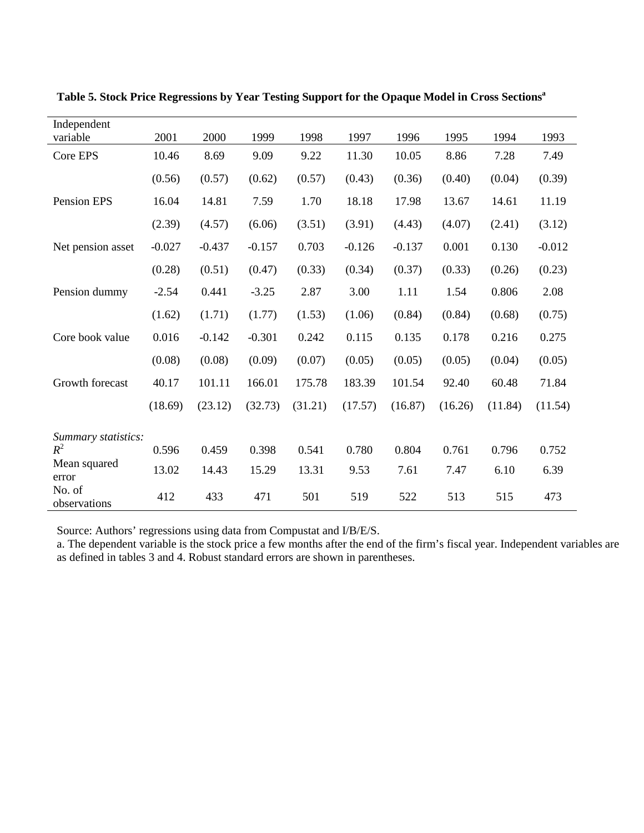| Independent            |          |          |          |         |          |          |         |         |          |
|------------------------|----------|----------|----------|---------|----------|----------|---------|---------|----------|
| variable               | 2001     | 2000     | 1999     | 1998    | 1997     | 1996     | 1995    | 1994    | 1993     |
| Core EPS               | 10.46    | 8.69     | 9.09     | 9.22    | 11.30    | 10.05    | 8.86    | 7.28    | 7.49     |
|                        | (0.56)   | (0.57)   | (0.62)   | (0.57)  | (0.43)   | (0.36)   | (0.40)  | (0.04)  | (0.39)   |
| Pension EPS            | 16.04    | 14.81    | 7.59     | 1.70    | 18.18    | 17.98    | 13.67   | 14.61   | 11.19    |
|                        | (2.39)   | (4.57)   | (6.06)   | (3.51)  | (3.91)   | (4.43)   | (4.07)  | (2.41)  | (3.12)   |
| Net pension asset      | $-0.027$ | $-0.437$ | $-0.157$ | 0.703   | $-0.126$ | $-0.137$ | 0.001   | 0.130   | $-0.012$ |
|                        | (0.28)   | (0.51)   | (0.47)   | (0.33)  | (0.34)   | (0.37)   | (0.33)  | (0.26)  | (0.23)   |
| Pension dummy          | $-2.54$  | 0.441    | $-3.25$  | 2.87    | 3.00     | 1.11     | 1.54    | 0.806   | 2.08     |
|                        | (1.62)   | (1.71)   | (1.77)   | (1.53)  | (1.06)   | (0.84)   | (0.84)  | (0.68)  | (0.75)   |
| Core book value        | 0.016    | $-0.142$ | $-0.301$ | 0.242   | 0.115    | 0.135    | 0.178   | 0.216   | 0.275    |
|                        | (0.08)   | (0.08)   | (0.09)   | (0.07)  | (0.05)   | (0.05)   | (0.05)  | (0.04)  | (0.05)   |
| Growth forecast        | 40.17    | 101.11   | 166.01   | 175.78  | 183.39   | 101.54   | 92.40   | 60.48   | 71.84    |
|                        | (18.69)  | (23.12)  | (32.73)  | (31.21) | (17.57)  | (16.87)  | (16.26) | (11.84) | (11.54)  |
| Summary statistics:    |          |          |          |         |          |          |         |         |          |
| $R^2$                  | 0.596    | 0.459    | 0.398    | 0.541   | 0.780    | 0.804    | 0.761   | 0.796   | 0.752    |
| Mean squared<br>error  | 13.02    | 14.43    | 15.29    | 13.31   | 9.53     | 7.61     | 7.47    | 6.10    | 6.39     |
| No. of<br>observations | 412      | 433      | 471      | 501     | 519      | 522      | 513     | 515     | 473      |

Table 5. Stock Price Regressions by Year Testing Support for the Opaque Model in Cross Sections<sup>a</sup>

a. The dependent variable is the stock price a few months after the end of the firm's fiscal year. Independent variables are as defined in tables 3 and 4. Robust standard errors are shown in parentheses.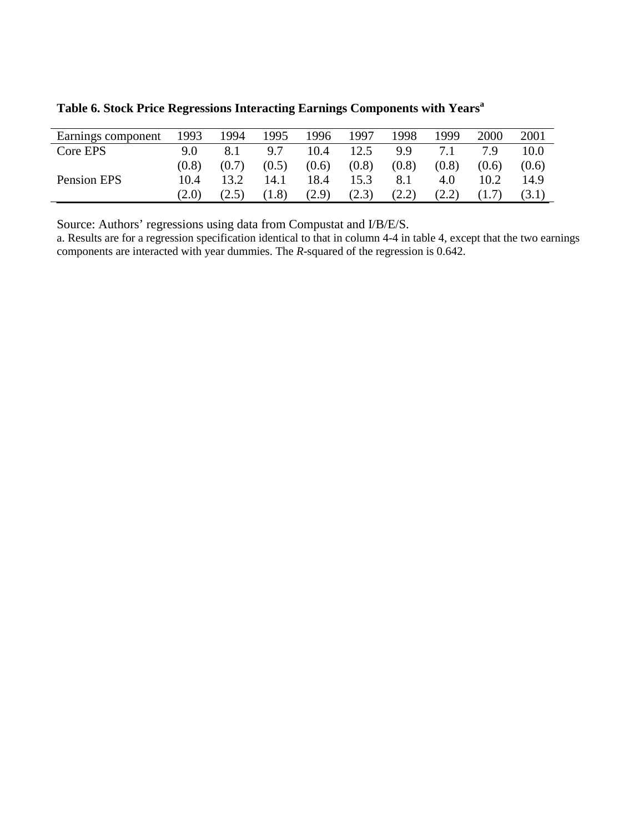| Earnings component | 1993  | 1994  | 1995  | 1996  | 1997  | 1998  | 1999  | 2000  | 2001  |
|--------------------|-------|-------|-------|-------|-------|-------|-------|-------|-------|
| Core EPS           | 9.0   |       | 97    | 10.4  | 12.5  | QQ    |       | 7 Q   | 10.0  |
|                    | (0.8) | (0.7) | (0.5) | (0.6) | (0.8) | (0.8) | (0.8) | (0.6) | (0.6) |
| Pension EPS        | 10.4  | 13 2  | 14.1  | 18.4  | 15.3  | 8.1   | 4.0   | 10.2  | 14.9  |
|                    | (2.0) | (2.5) | (1.8) | (2.9) | (2.3) | (2.2) | (2.2) |       | (3.1) |

**Table 6. Stock Price Regressions Interacting Earnings Components with Years<sup>a</sup>**

 $\overline{a}$ 

a. Results are for a regression specification identical to that in column 4-4 in table 4, except that the two earnings components are interacted with year dummies. The *R*-squared of the regression is 0.642.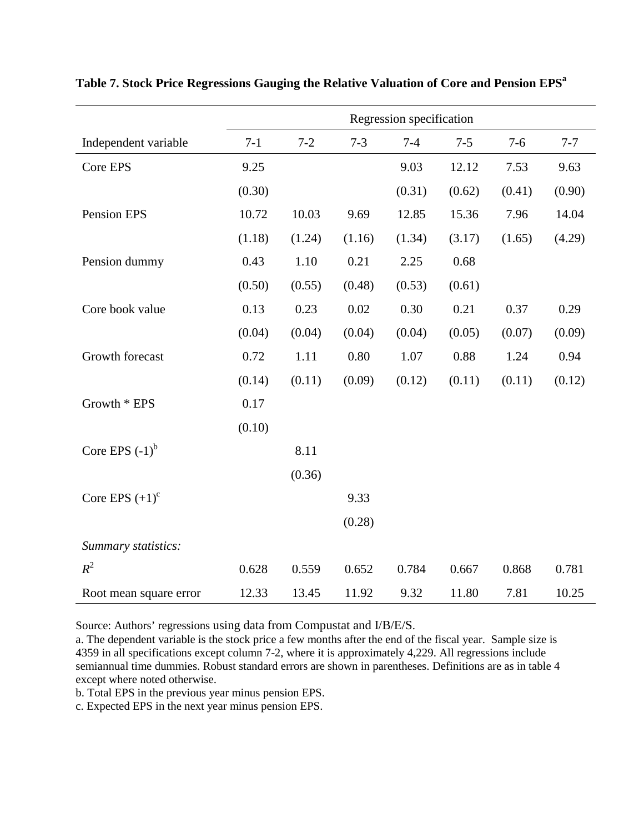|                        | Regression specification |         |         |        |         |         |         |  |  |
|------------------------|--------------------------|---------|---------|--------|---------|---------|---------|--|--|
| Independent variable   | $7 - 1$                  | $7 - 2$ | $7 - 3$ | $7-4$  | $7 - 5$ | $7 - 6$ | $7 - 7$ |  |  |
| Core EPS               | 9.25                     |         |         | 9.03   | 12.12   | 7.53    | 9.63    |  |  |
|                        | (0.30)                   |         |         | (0.31) | (0.62)  | (0.41)  | (0.90)  |  |  |
| Pension EPS            | 10.72                    | 10.03   | 9.69    | 12.85  | 15.36   | 7.96    | 14.04   |  |  |
|                        | (1.18)                   | (1.24)  | (1.16)  | (1.34) | (3.17)  | (1.65)  | (4.29)  |  |  |
| Pension dummy          | 0.43                     | 1.10    | 0.21    | 2.25   | 0.68    |         |         |  |  |
|                        | (0.50)                   | (0.55)  | (0.48)  | (0.53) | (0.61)  |         |         |  |  |
| Core book value        | 0.13                     | 0.23    | 0.02    | 0.30   | 0.21    | 0.37    | 0.29    |  |  |
|                        | (0.04)                   | (0.04)  | (0.04)  | (0.04) | (0.05)  | (0.07)  | (0.09)  |  |  |
| Growth forecast        | 0.72                     | 1.11    | 0.80    | 1.07   | 0.88    | 1.24    | 0.94    |  |  |
|                        | (0.14)                   | (0.11)  | (0.09)  | (0.12) | (0.11)  | (0.11)  | (0.12)  |  |  |
| Growth * EPS           | 0.17                     |         |         |        |         |         |         |  |  |
|                        | (0.10)                   |         |         |        |         |         |         |  |  |
| Core EPS $(-1)^{b}$    |                          | 8.11    |         |        |         |         |         |  |  |
|                        |                          | (0.36)  |         |        |         |         |         |  |  |
| Core EPS $(+1)^c$      |                          |         | 9.33    |        |         |         |         |  |  |
|                        |                          |         | (0.28)  |        |         |         |         |  |  |
| Summary statistics:    |                          |         |         |        |         |         |         |  |  |
| $R^2$                  | 0.628                    | 0.559   | 0.652   | 0.784  | 0.667   | 0.868   | 0.781   |  |  |
| Root mean square error | 12.33                    | 13.45   | 11.92   | 9.32   | 11.80   | 7.81    | 10.25   |  |  |

**Table 7. Stock Price Regressions Gauging the Relative Valuation of Core and Pension EPS<sup>a</sup>**

a. The dependent variable is the stock price a few months after the end of the fiscal year. Sample size is 4359 in all specifications except column 7-2, where it is approximately 4,229. All regressions include semiannual time dummies. Robust standard errors are shown in parentheses. Definitions are as in table 4 except where noted otherwise.

b. Total EPS in the previous year minus pension EPS.

c. Expected EPS in the next year minus pension EPS.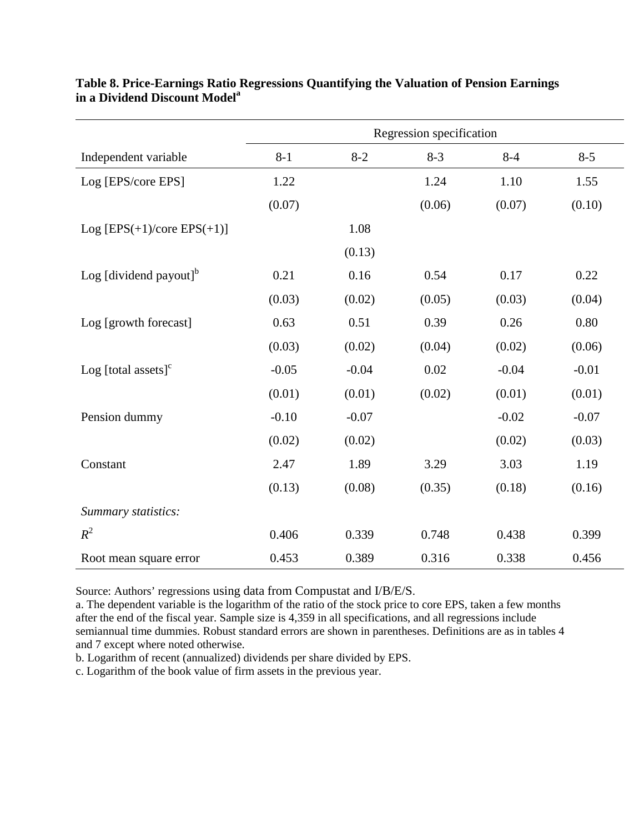|                                 | Regression specification |         |         |         |         |  |  |  |
|---------------------------------|--------------------------|---------|---------|---------|---------|--|--|--|
| Independent variable            | $8 - 1$                  | $8 - 2$ | $8 - 3$ | $8 - 4$ | $8 - 5$ |  |  |  |
| Log [EPS/core EPS]              | 1.22                     |         | 1.24    | 1.10    | 1.55    |  |  |  |
|                                 | (0.07)                   |         | (0.06)  | (0.07)  | (0.10)  |  |  |  |
| $Log [EPS(+1)/core EPS(+1)]$    |                          | 1.08    |         |         |         |  |  |  |
|                                 |                          | (0.13)  |         |         |         |  |  |  |
| Log [dividend payout] $b$       | 0.21                     | 0.16    | 0.54    | 0.17    | 0.22    |  |  |  |
|                                 | (0.03)                   | (0.02)  | (0.05)  | (0.03)  | (0.04)  |  |  |  |
| Log [growth forecast]           | 0.63                     | 0.51    | 0.39    | 0.26    | 0.80    |  |  |  |
|                                 | (0.03)                   | (0.02)  | (0.04)  | (0.02)  | (0.06)  |  |  |  |
| Log [total assets] $\mathrm{c}$ | $-0.05$                  | $-0.04$ | 0.02    | $-0.04$ | $-0.01$ |  |  |  |
|                                 | (0.01)                   | (0.01)  | (0.02)  | (0.01)  | (0.01)  |  |  |  |
| Pension dummy                   | $-0.10$                  | $-0.07$ |         | $-0.02$ | $-0.07$ |  |  |  |
|                                 | (0.02)                   | (0.02)  |         | (0.02)  | (0.03)  |  |  |  |
| Constant                        | 2.47                     | 1.89    | 3.29    | 3.03    | 1.19    |  |  |  |
|                                 | (0.13)                   | (0.08)  | (0.35)  | (0.18)  | (0.16)  |  |  |  |
| Summary statistics:             |                          |         |         |         |         |  |  |  |
| $R^2$                           | 0.406                    | 0.339   | 0.748   | 0.438   | 0.399   |  |  |  |
| Root mean square error          | 0.453                    | 0.389   | 0.316   | 0.338   | 0.456   |  |  |  |

## **Table 8. Price-Earnings Ratio Regressions Quantifying the Valuation of Pension Earnings in a Dividend Discount Model<sup>a</sup>**

Source: Authors' regressions using data from Compustat and I/B/E/S.

a. The dependent variable is the logarithm of the ratio of the stock price to core EPS, taken a few months after the end of the fiscal year. Sample size is 4,359 in all specifications, and all regressions include semiannual time dummies. Robust standard errors are shown in parentheses. Definitions are as in tables 4 and 7 except where noted otherwise.

b. Logarithm of recent (annualized) dividends per share divided by EPS.

c. Logarithm of the book value of firm assets in the previous year.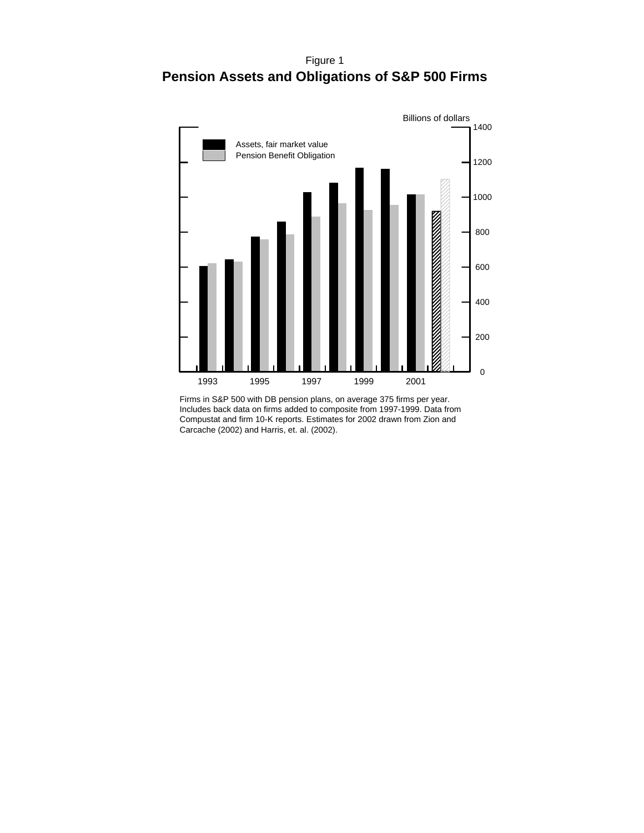Figure 1 **Pension Assets and Obligations of S&P 500 Firms**



Firms in S&P 500 with DB pension plans, on average 375 firms per year. Includes back data on firms added to composite from 1997-1999. Data from Compustat and firm 10-K reports. Estimates for 2002 drawn from Zion and Carcache (2002) and Harris, et. al. (2002).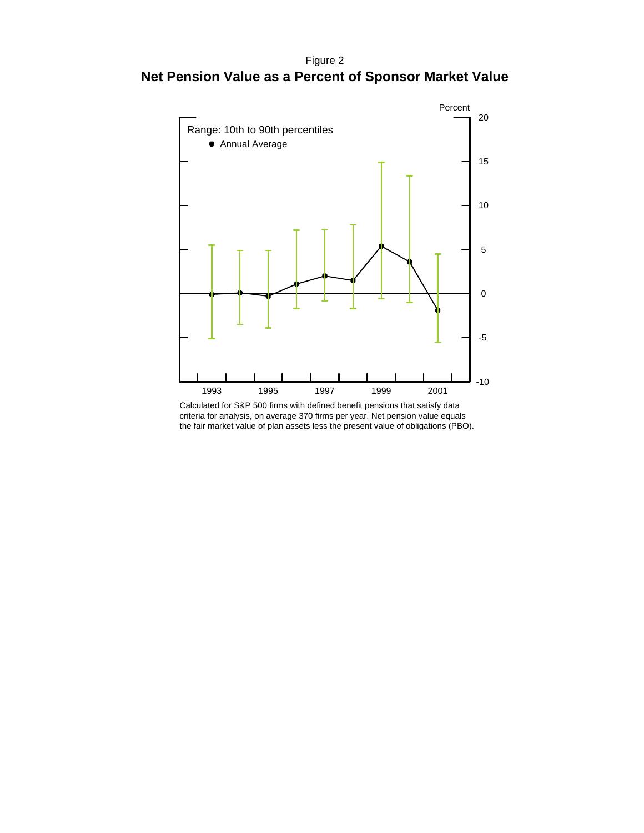Figure 2 **Net Pension Value as a Percent of Sponsor Market Value**



Calculated for S&P 500 firms with defined benefit pensions that satisfy data criteria for analysis, on average 370 firms per year. Net pension value equals the fair market value of plan assets less the present value of obligations (PBO).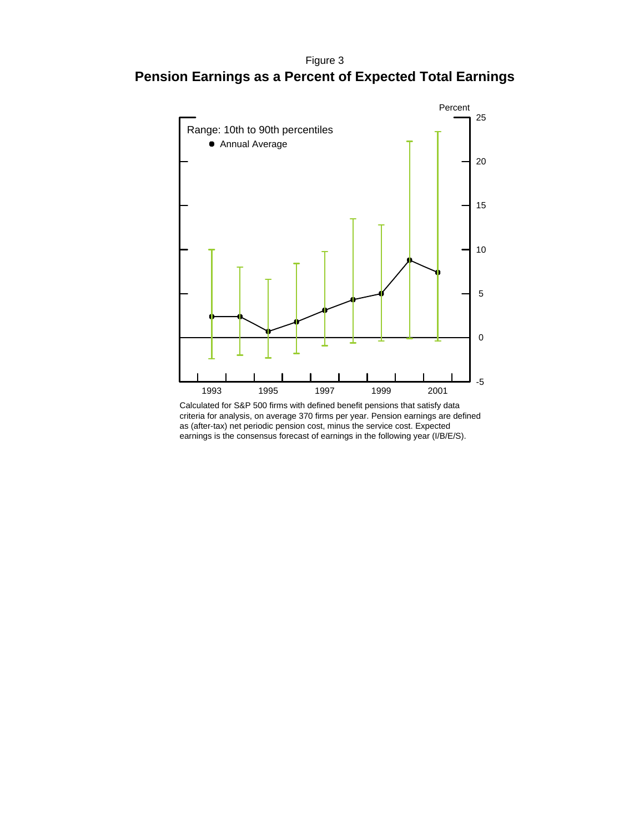Figure 3 **Pension Earnings as a Percent of Expected Total Earnings**



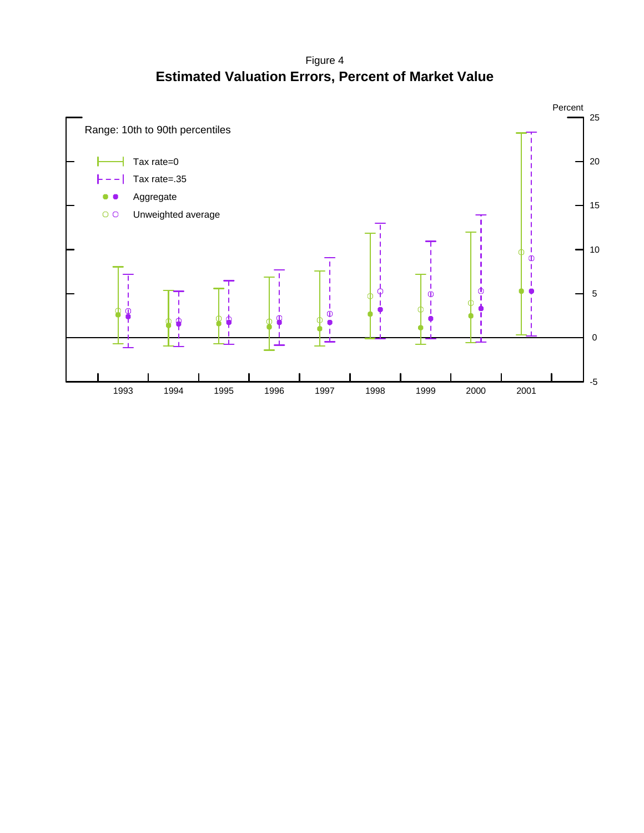Figure 4 **Estimated Valuation Errors, Percent of Market Value**